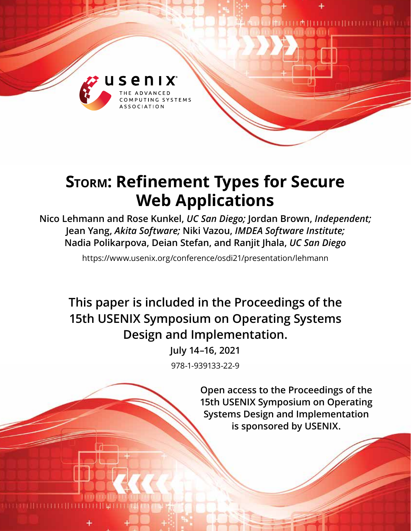

# **Storm: Refinement Types for Secure Web Applications**

**Nico Lehmann and Rose Kunkel,** *UC San Diego;* **Jordan Brown,** *Independent;*  **Jean Yang,** *Akita Software;* **Niki Vazou,** *IMDEA Software Institute;*  **Nadia Polikarpova, Deian Stefan, and Ranjit Jhala,** *UC San Diego*

https://www.usenix.org/conference/osdi21/presentation/lehmann

**This paper is included in the Proceedings of the 15th USENIX Symposium on Operating Systems Design and Implementation.**

> **July 14–16, 2021** 978-1-939133-22-9

> > **Open access to the Proceedings of the 15th USENIX Symposium on Operating Systems Design and Implementation is sponsored by USENIX.**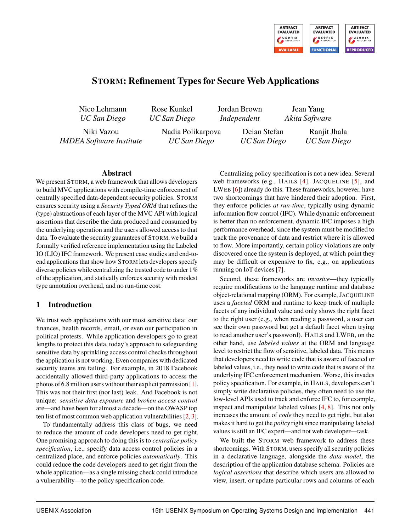

# STORM: Refinement Types for Secure Web Applications

Nico Lehmann *UC San Diego*

Rose Kunkel *UC San Diego* Jordan Brown *Independent*

> Deian Stefan *UC San Diego*

Jean Yang *Akita Software*

Niki Vazou *IMDEA Software Institute* Nadia Polikarpova *UC San Diego*

Ranjit Jhala *UC San Diego*

#### Abstract

We present STORM, a web framework that allows developers to build MVC applications with compile-time enforcement of centrally specified data-dependent security policies. STORM ensures security using a *Security Typed ORM* that refines the (type) abstractions of each layer of the MVC API with logical assertions that describe the data produced and consumed by the underlying operation and the users allowed access to that data. To evaluate the security guarantees of STORM, we build a formally verified reference implementation using the Labeled IO (LIO) IFC framework. We present case studies and end-toend applications that show how STORM lets developers specify diverse policies while centralizing the trusted code to under 1% of the application, and statically enforces security with modest type annotation overhead, and no run-time cost.

## 1 Introduction

We trust web applications with our most sensitive data: our finances, health records, email, or even our participation in political protests. While application developers go to great lengths to protect this data, today's approach to safeguarding sensitive data by sprinkling access control checks throughout the application is not working. Even companies with dedicated security teams are failing. For example, in 2018 Facebook accidentally allowed third-party applications to access the photos of 6.8 million users without their explicit permission [\[1\]](#page-15-0). This was not their first (nor last) leak. And Facebook is not unique: *sensitive data exposure* and *broken access control* are—and have been for almost a decade—on the OWASP top ten list of most common web application vulnerabilities [\[2,](#page-15-1) [3\]](#page-15-2).

To fundamentally address this class of bugs, we need to reduce the amount of code developers need to get right. One promising approach to doing this is to *centralize policy specification*, i.e., specify data access control policies in a centralized place, and enforce policies *automatically*. This could reduce the code developers need to get right from the whole application—as a single missing check could introduce a vulnerability—to the policy specification code.

Centralizing policy specification is not a new idea. Several web frameworks (e.g., HAILS [\[4\]](#page-15-3), JACQUELINE [\[5\]](#page-15-4), and LWEB [\[6\]](#page-15-5)) already do this. These frameworks, however, have two shortcomings that have hindered their adoption. First, they enforce policies *at run-time*, typically using dynamic information flow control (IFC). While dynamic enforcement is better than no enforcement, dynamic IFC imposes a high performance overhead, since the system must be modified to track the provenance of data and restrict where it is allowed to flow. More importantly, certain policy violations are only discovered once the system is deployed, at which point they may be difficult or expensive to fix, e.g., on applications running on IoT devices [\[7\]](#page-15-6).

Second, these frameworks are *invasive*—they typically require modifications to the language runtime and database object-relational mapping (ORM). For example, JACQUELINE uses a *faceted* ORM and runtime to keep track of multiple facets of any individual value and only shows the right facet to the right user (e.g., when reading a password, a user can see their own password but get a default facet when trying to read another user's password). HAILS and LWEB, on the other hand, use *labeled values* at the ORM and language level to restrict the flow of sensitive, labeled data. This means that developers need to write code that is aware of faceted or labeled values, i.e., they need to write code that is aware of the underlying IFC enforcement mechanism. Worse, this invades policy specification. For example, in HAILS, developers can't simply write declarative policies, they often need to use the low-level APIs used to track and enforce IFC to, for example, inspect and manipulate labeled values [\[4,](#page-15-3) [8\]](#page-15-7). This not only increases the amount of *code* they need to get right, but also makes it hard to get the *policy* right since manipulating labeled values is still an IFC expert—and not web developer—task.

We built the STORM web framework to address these shortcomings. With STORM, users specify all security policies in a declarative language, alongside the *data model*, the description of the application database schema. Policies are *logical assertions* that describe which users are allowed to view, insert, or update particular rows and columns of each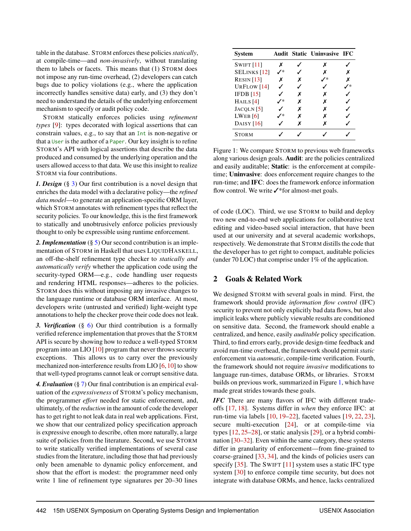table in the database. STORM enforces these policies*statically*, at compile-time—and *non-invasively*, without translating them to labels or facets. This means that (1) STORM does not impose any run-time overhead, (2) developers can catch bugs due to policy violations (e.g., where the application incorrectly handles sensitive data) early, and (3) they don't need to understand the details of the underlying enforcement mechanism to specify or audit policy code.

STORM statically enforces policies using *refinement types* [\[9\]](#page-15-8): types decorated with logical assertions that can constrain values, e.g., to say that an Int is non-negative or that a User is the author of a Paper. Our key insight is to refine STORM's API with logical assertions that describe the data produced and consumed by the underlying operation and the users allowed access to that data. We use this insight to realize STORM via four contributions.

*1. Design* (§ [3\)](#page-3-0) Our first contribution is a novel design that enriches the data model with a declarative policy—the *refined data model*—to generate an application-specific ORM layer, which STORM annotates with refinement types that reflect the security policies. To our knowledge, this is the first framework to statically and unobtrusively enforce policies previously thought to only be expressible using runtime enforcement.

*2. Implementation* (§ [5\)](#page-7-0) Our second contribution is an implementation of STORM in Haskell that uses LIQUIDHASKELL, an off-the-shelf refinement type checker to *statically and automatically verify* whether the application code using the security-typed ORM—e.g., code handling user requests and rendering HTML responses—adheres to the policies. STORM does this without imposing any invasive changes to the language runtime or database ORM interface. At most, developers write (untrusted and verified) light-weight type annotations to help the checker prove their code does not leak.

*3. Verification* (§ [6\)](#page-11-0) Our third contribution is a formally verified reference implementation that proves that the STORM API is secure by showing how to reduce a well-typed STORM program into an LIO [\[10\]](#page-15-9) program that never throws security exceptions. This allows us to carry over the previously mechanized non-interference results from LIO [\[6,](#page-15-5) [10\]](#page-15-9) to show that well-typed programs cannot leak or corrupt sensitive data.

*4. Evaluation* (§ [7\)](#page-12-0) Our final contribution is an empirical evaluation of the *expressiveness* of STORM's policy mechanism, the programmer *effort* needed for static enforcement, and, ultimately, of the *reduction* in the amount of code the developer has to get right to not leak data in real web applications. First, we show that our centralized policy specification approach is expressive enough to describe, often more naturally, a large suite of policies from the literature. Second, we use STORM to write statically verified implementations of several case studies from the literature, including those that had previously only been amenable to dynamic policy enforcement, and show that the effort is modest: the programmer need only write 1 line of refinement type signatures per 20–30 lines

<span id="page-2-0"></span>

| System                |    |   | Audit Static Uninvasive IFC |   |
|-----------------------|----|---|-----------------------------|---|
| <b>SWIFT</b> [11]     | x  |   | х                           |   |
| <b>SELINKS</b> [12]   | ∕* |   | х                           | х |
| RESULT [13]           | х  |   |                             | x |
| URFLOW [14]           |    |   |                             |   |
| IFDB[15]              |    | х | х                           |   |
| HAILS $[4]$           | /* | x | x                           |   |
| JACOLN <sub>[5]</sub> |    | х | x                           |   |
| $LWEB$ [6]            | /* |   | х                           |   |
| DAISY $[16]$          |    |   | x                           |   |
| <b>STORM</b>          |    |   |                             |   |

Figure 1: We compare STORM to previous web frameworks along various design goals. Audit: are the policies centralized and easily auditable; Static: is the enforcement at compiletime; Uninvasive: does enforcement require changes to the run-time; and IFC: does the framework enforce information flow control. We write ✓\*for almost-met goals.

of code (LOC). Third, we use STORM to build and deploy two new end-to-end web applications for collaborative text editing and video-based social interaction, that have been used at our university and at several academic workshops, respectively. We demonstrate that STORM distills the code that the developer has to get right to compact, auditable policies (under 70 LOC) that comprise under 1% of the application.

## 2 Goals & Related Work

We designed STORM with several goals in mind. First, the framework should provide *information flow control* (IFC) security to prevent not only explicitly bad data flows, but also implicit leaks where publicly viewable results are conditioned on sensitive data. Second, the framework should enable a centralized, and hence, easily *auditable* policy specification. Third, to find errors early, provide design-time feedback and avoid run-time overhead, the framework should permit *static* enforcement via *automatic*, compile-time verification. Fourth, the framework should not require *invasive* modifications to language run-times, database ORMs, or libraries. STORM builds on previous work, summarized in Figure [1,](#page-2-0) which have made great strides towards these goals.

*IFC* There are many flavors of IFC with different tradeoffs [\[17,](#page-15-16) [18\]](#page-15-17). Systems differ in *when* they enforce IFC: at run-time via labels [\[10,](#page-15-9) [19–](#page-15-18)[22\]](#page-15-19), faceted values [\[19,](#page-15-18) [22,](#page-15-19) [23\]](#page-15-20), secure multi-execution [\[24\]](#page-15-21), or at compile-time via types [\[12,](#page-15-11) [25](#page-16-0)[–28\]](#page-16-1), or static analysis [\[29\]](#page-16-2), or a hybrid combination [\[30–](#page-16-3)[32\]](#page-16-4). Even within the same category, these systems differ in granularity of enforcement—from fine-grained to coarse-grained [\[33,](#page-16-5) [34\]](#page-16-6), and the kinds of policies users can specify [\[35\]](#page-16-7). The SWIFT [\[11\]](#page-15-10) system uses a static IFC type system [\[30\]](#page-16-3) to enforce compile time security, but does not integrate with database ORMs, and hence, lacks centralized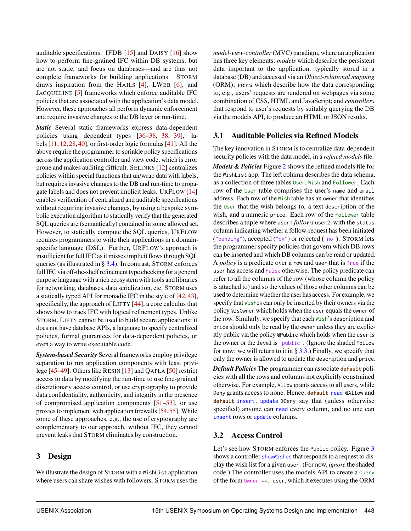auditable specifications. IFDB [\[15\]](#page-15-14) and DAISY [\[16\]](#page-15-15) show how to perform fine-grained IFC within DB systems, but are not static, and focus on databases—and are thus not complete frameworks for building applications. STORM draws inspiration from the HAILS [\[4\]](#page-15-3), LWEB [\[6\]](#page-15-5), and JACQUELINE [\[5\]](#page-15-4) frameworks which enforce auditable IFC policies that are associated with the application's data model. However, these approaches all perform dynamic enforcement and require invasive changes to the DB layer or run-time.

*Static* Several static frameworks express data-dependent policies using dependent types [\[36](#page-16-8)[–38,](#page-16-9) [38,](#page-16-9) [39\]](#page-16-10), labels [\[11,](#page-15-10) [12,](#page-15-11) [28,](#page-16-1) [40\]](#page-16-11), or first-order logic formulas [\[41\]](#page-16-12). All the above require the programmer to sprinkle policy specifications across the application controller and view code, which is error prone and makes auditing difficult. SELINKS [\[12\]](#page-15-11) centralizes policies within special functions that un/wrap data with labels, but requires invasive changes to the DB and run-time to propagate labels and does not prevent implicit leaks. URFLOW [\[14\]](#page-15-13) enables verification of centralized and auditable specifications without requiring invasive changes, by using a bespoke symbolic execution algorithm to statically verify that the generated SQL queries are (semantically) contained in some allowed set. However, to statically compute the SQL queries, URFLOW requires programmers to write their applications in a domainspecific language (DSL). Further, URFLOW's approach is insufficient for full IFC as it misses implicit flows through SQL queries (as illustrated in § [3.4\)](#page-5-0). In contrast, STORM enforces full IFC via off-the-shelf refinement type checking for a general purpose language with a rich ecosystem with tools and libraries for networking, databases, data serialization, etc. STORM uses a statically typed API for monadic IFC in the style of [\[42,](#page-16-13) [43\]](#page-16-14), specifically, the approach of LIFTY [\[44\]](#page-16-15), a core calculus that shows how to track IFC with logical refinement types. Unlike STORM, LIFTY cannot be used to build secure applications: it does not have database APIs, a language to specify centralized policies, formal guarantees for data-dependent policies, or even a way to write executable code.

*System-based Security* Several frameworks employ privilege separation to run application components with least privilege [\[45](#page-16-16)[–49\]](#page-16-17). Others like RESIN [\[13\]](#page-15-12) and QAPLA [\[50\]](#page-16-18) restrict access to data by modifying the run-time to use fine-grained discretionary access control, or use cryptography to provide data confidentiality, authenticity, and integrity in the presence of compromised application components [\[51](#page-17-0)[–53\]](#page-17-1), or use proxies to implement web application firewalls [\[54,](#page-17-2)[55\]](#page-17-3). While some of these approaches, e.g., the use of cryptography are complementary to our approach, without IFC, they cannot prevent leaks that STORM eliminates by construction.

#### <span id="page-3-0"></span>3 Design

We illustrate the design of STORM with a WishList application where users can share wishes with followers. STORM uses the

*model-view-controller* (MVC) paradigm, where an application has three key elements: *models* which describe the persistent data important to the application, typically stored in a database (DB) and accessed via an *Object-relational mapping* (ORM); *views* which describe how the data corresponding to, e.g., users' requests are rendered on webpages via some combination of CSS, HTML and JavaScript; and *controllers* that respond to user's requests by suitably querying the DB via the models API, to produce an HTML or JSON results.

#### 3.1 Auditable Policies via Refined Models

The key innovation in STORM is to centralize data-dependent security policies with the data model, in a *refined models* file. *Models & Policies* Figure [2](#page-4-0) shows the refined models file for the WishList app. The left column describes the data schema, as a collection of three tables User, Wish and Follower. Each row of the User table comprises the user's name and email address. Each row of the Wish table has an owner that identifies the User that the wish belongs to, a text description of the wish, and a numeric price. Each row of the Follower table describes a tuple where user1 *follows* user2, with the status column indicating whether a follow-request has been initiated ("pending"), accepted ("ok") or rejected ("no"). STORM lets the programmer specify policies that govern which DB rows can be inserted and which DB columns can be read or updated. A *policy* is a predicate over a row and user that is True if the user has access and False otherwise. The policy predicate can refer to all the columns of the row (whose column the policy is attached to) and so the values of those other columns can be used to determine whether the user has access. For example, we specify that Wishes can only be inserted by their owners via the policy @IsOwner which holds when the user equals the owner of the row. Similarly, we specify that each Wish's description and price should only be read by the owner unless they are explicitly public via the policy @Public which holds when the user is the owner or the level is "public". (Ignore the shaded Follow for now: we will return to it in  $\S 3.3$ .) Finally, we specify that only the owner is allowed to update the description and price.

*Default Policies* The programmer can associate **default** policies with all the rows and columns not explicitly constrained otherwise. For example, Allow grants access to all users, while Deny grants access to none. Hence, **default** read @Allow and **default** insert, update @Deny say that (unless otherwise specified) anyone can read every column, and no one can insert rows or update columns.

## <span id="page-3-1"></span>3.2 Access Control

Let's see how STORM enforces the Public policy. Figure [3](#page-4-2) shows a controller showWishes that responds to a request to display the wish list for a given user. (For now, *ignore* the shaded code.) The controller uses the models API to create a Query of the form Owner ==. user, which it executes using the ORM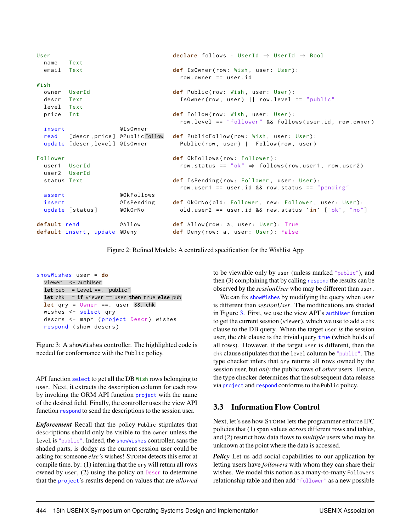<span id="page-4-0"></span>

| User         |                                   |            | declare follows : UserId $\rightarrow$ UserId $\rightarrow$ Bool |
|--------------|-----------------------------------|------------|------------------------------------------------------------------|
| name         | Text                              |            |                                                                  |
| email        | Text                              |            | def IsOwner(row: Wish, user: User):<br>$row. owner == user.id$   |
| Wish         |                                   |            |                                                                  |
| owner        | UserId                            |            | def Public(row: Wish, user: User):                               |
| descr        | Text                              |            | $IsOwner(row, user)    row. level == "public"$                   |
| level Text   |                                   |            |                                                                  |
| price Int    |                                   |            | def Follow(row: Wish, user: User):                               |
|              |                                   |            | row.level == "follower" && follows(user.id, row.owner)           |
| insert       |                                   | @IsOwner   |                                                                  |
|              | read [descr, price] @PublicFollow |            | def PublicFollow(row: Wish, user: User):                         |
|              | update [descr, level] @IsOwner    |            | Public(row, user)     Follow(row, user)                          |
| Follower     |                                   |            | def OkFollows(row: Follower):                                    |
| user1 UserId |                                   |            | row.status == "ok" $\Rightarrow$ follows(row.user1, row.user2)   |
| user2 UserId |                                   |            |                                                                  |
| status Text  |                                   |            | def IsPending(row: Follower, user: User):                        |
|              |                                   |            | row.user1 == user.id && row.status == "pending"                  |
| assert       |                                   | @OkFollows |                                                                  |
| insert       |                                   | @IsPending | def OkOrNo(old: Follower, new: Follower, user: User):            |
|              | update [status]                   | @OkOrNo    | old.user2 == user.id $\&$ new.status $\sin$ ["ok", "no"]         |
| default read |                                   | @Allow     | def Allow(row: a, user: User): True                              |
|              | default insert, update @Deny      |            | def Deny(row: a, user: User): False                              |

Figure 2: Refined Models: A centralized specification for the Wishlist App

<span id="page-4-2"></span>showWishes user = **do** viewer <- authUser  $let pub = Level ==. "public"$ **let** chk = **if** viewer == user **then** true **else** pub **let** qry = Owner ==. user &&. chk wishes <- select qry descrs <- mapM (project Descr) wishes respond ( show descrs )

Figure 3: A showWishes controller. The highlighted code is needed for conformance with the Public policy.

API function select to get all the DB Wish rows belonging to user. Next, it extracts the description column for each row by invoking the ORM API function project with the name of the desired field. Finally, the controller uses the view API function respond to send the descriptions to the session user.

*Enforcement* Recall that the policy Public stipulates that descriptions should only be visible to the owner unless the level is "public". Indeed, the showWishes controller, sans the shaded parts, is dodgy as the current session user could be asking for someone *else's* wishes! STORM detects this error at compile time, by: (1) inferring that the qry will return all rows owned by user, (2) using the policy on Descr to determine that the project's results depend on values that are *allowed* to be viewable only by user (unless marked "public"), and then (3) complaining that by calling respond the results can be observed by the *sessionUser* who may be different than user.

We can fix show Wishes by modifying the query when user is different than *sessionUser*. The modifications are shaded in Figure [3.](#page-4-2) First, we use the view API's authUser function to get the current session (viewer), which we use to add a chk clause to the DB query. When the target user *is* the session user, the chk clause is the trivial query true (which holds of all rows). However, if the target user is different, then the chk clause stipulates that the level column be "public". The type checker infers that qry returns all rows owned by the session user, but *only* the public rows of *other* users. Hence, the type checker determines that the subsequent data release via project and respond conforms to the Public policy.

# <span id="page-4-1"></span>3.3 Information Flow Control

Next, let's see how STORM lets the programmer enforce IFC policies that (1) span values *across* different rows and tables, and (2) restrict how data flows to *multiple* users who may be unknown at the point where the data is accessed.

*Policy* Let us add social capabilities to our application by letting users have *followers* with whom they can share their wishes. We model this notion as a many-to-many Followers relationship table and then add "follower" as a new possible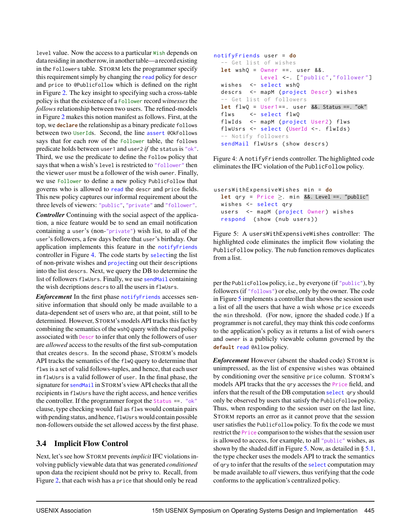level value. Now the access to a particular Wish depends on data residing in another row, in another table—a record existing in the Followers table. STORM lets the programmer specify this requirement simply by changing the read policy for descr and price to @PublicFollow which is defined on the right in Figure [2.](#page-4-0) The key insight to specifying such a cross-table policy is that the existence of a Follower record *witnesses* the *follows* relationship between two users. The refined-models in Figure [2](#page-4-0) makes this notion manifest as follows. First, at the top, we **declare** the relationship as a binary predicate follows between two UserIds. Second, the line assert @OkFollows says that for each row of the Follower table, the follows predicate holds between user1 and user2 *if* the status is "ok". Third, we use the predicate to define the Follow policy that says that when a wish's level is restricted to "follower" then the viewer user must be a follower of the wish owner. Finally, we use Follower to define a new policy PublicFollow that governs who is allowed to read the descr and price fields. This new policy captures our informal requirement about the three levels of viewers: "public", "private" and "follower".

*Controller* Continuing with the social aspect of the application, a nice feature would be to send an email notification containing a user's (non-"private") wish list, to all of the user's followers, a few days before that user's birthday. Our application implements this feature in the notifyFriends controller in Figure [4.](#page-5-1) The code starts by selecting the list of non-private wishes and projecting out their descriptions into the list descrs. Next, we query the DB to determine the list of followers flwUsrs. Finally, we use sendMail containing the wish decriptions descrs to all the users in flwUsrs.

*Enforcement* In the first phase notify Friends accesses sensitive information that should only be made available to a data-dependent set of users who are, at that point, still to be determined. However, STORM's models API tracks this fact by combining the semantics of the wshQ query with the read policy associated with Descr to infer that only the followers of user are *allowed* access to the results of the first sub-computation that creates descrs. In the second phase, STORM's models API tracks the semantics of the flwQ query to determine that flws is a set of valid follows-tuples, and hence, that each user in flwUsrs is a valid follower of user. In the final phase, the signature for sendMail in STORM's view API checks that all the recipients in flwUsrs have the right access, and hence verifies the controller. If the programmer forgot the Status ==. "ok" clause, type checking would fail as flws would contain pairs with pending status, and hence, flwUsrswould contain possible non-followers outside the set allowed access by the first phase.

# <span id="page-5-0"></span>3.4 Implicit Flow Control

Next, let's see how STORM prevents *implicit* IFC violations involving publicly viewable data that was generated *conditioned* upon data the recipient should not be privy to. Recall, from Figure [2,](#page-4-0) that each wish has a price that should only be read

```
notifyFriends user = do
  -- Get list of wishes
  let wshQ = Owner ==. user &&.
             Level <-. ["public","follower"]
  wishes <- select wshQ
  descrs <- mapM (project Descr) wishes
  -- Get list of followers
  let flw0 = User1 ==. user 8 &. Status ==. "ok"flws <- select flwQ
  flwIds <- mapM (project User2) flws
  flwUsrs <- select (UserId <-. flwIds)
  -- Notify followers
  sendMail flwUsrs ( show descrs )
```
Figure 4: A notifyFriends controller. The highlighted code eliminates the IFC violation of the PublicFollow policy.

```
usersWithExpensiveWishes min = do
  let qry = Price \geq. min &&. Level ==. "public"
  wishes <- select qry
  users <- mapM (project Owner) wishes
  respond ( show ( nub users ) )
```
Figure 5: A usersWithExpensiveWishes controller: The highlighted code eliminates the implicit flow violating the PublicFollow policy. The nub function removes duplicates from a list.

per the PublicFollow policy, i.e., by everyone (if "public"), by followers (if "follows") or else, only by the owner. The code in Figure [5](#page-5-2) implements a controller that shows the session user a list of all the users that have a wish whose price exceeds the min threshold. (For now, ignore the shaded code.) If a programmer is not careful, they may think this code conforms to the application's policy as it returns a list of wish owners and owner is a publicly viewable column governed by the **default** read @Allow policy.

*Enforcement* However (absent the shaded code) STORM is unimpressed, as the list of expensive wishes was obtained by conditioning over the sensitive price column. STORM's models API tracks that the qry accesses the Price field, and infers that the result of the DB computation select qry should only be observed by users that satisfy the PublicFollow policy. Thus, when responding to the session user on the last line, STORM reports an error as it cannot prove that the session user satisfies the PublicFollow policy. To fix the code we must restrict the Price comparison to the wishes that the session user is allowed to access, for example, to all "public" wishes, as shown by the shaded diff in Figure [5.](#page-5-2) Now, as detailed in  $\S 5.1$ , the type checker uses the models API to track the semantics of qry to infer that the results of the select computation may be made available to *all* viewers, thus verifying that the code conforms to the application's centralized policy.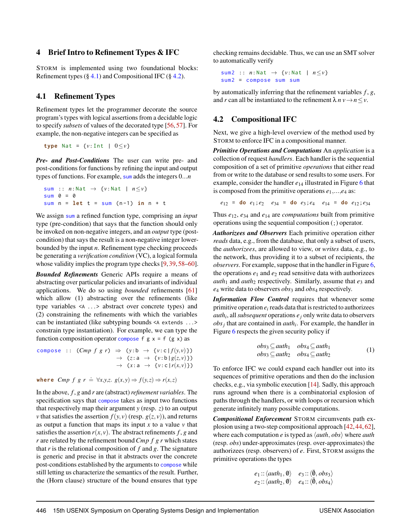#### 4 Brief Intro to Refinement Types & IFC

STORM is implemented using two foundational blocks: Refinement types  $(\S 4.1)$  $(\S 4.1)$  and Compositional IFC  $(\S 4.2)$  $(\S 4.2)$ .

## <span id="page-6-0"></span>4.1 Refinement Types

Refinement types let the programmer decorate the source program's types with logical assertions from a decidable logic to specify *subsets* of values of the decorated type [\[56,](#page-17-4) [57\]](#page-17-5). For example, the non-negative integers can be specified as

**type** Nat = { $v:$ Int |  $0 \le v$ }

*Pre- and Post-Conditions* The user can write pre- and post-conditions for functions by refining the input and output types of functions. For example, sum adds the integers 0...*n*

```
sum :: n: Nat → {v: Nat | n≤v}
sum 0 = 0sum n = let t = sum (n-1) in n + t
```
We assign sum a refined function type, comprising an *input* type (pre-condition) that says that the function should only be invoked on non-negative integers, and an *output* type (postcondition) that says the result is a non-negative integer lowerbounded by the input *n*. Refinement type checking proceeds be generating a *verification condition* (VC), a logical formula whose validity implies the program type checks [\[9,](#page-15-8) [39,](#page-16-10) [58](#page-17-6)[–60\]](#page-17-7).

*Bounded Refinements* Generic APIs require a means of abstracting over particular policies and invariants of individual applications. We do so using *bounded* refinements [\[61\]](#page-17-8) which allow (1) abstracting over the refinements (like type variables <A ...> abstract over concrete types) and (2) constraining the refinements with which the variables can be instantiated (like subtyping bounds <A extends ...> constrain type instantiation). For example, we can type the function composition operator compose f  $g \times = f(g \times)$  as

$$
\begin{array}{rcl}\n\text{compose} &:: \quad (\text{Cmp } f \text{ } g \text{ } r) & \Rightarrow & (y:b \rightarrow \{v:c \mid f(y,v)\}) \\
& \rightarrow & (z:a \rightarrow \{v:b \mid g(z,v)\}) \\
& \rightarrow & (x:a \rightarrow \{v:c \mid r(x,v)\})\n\end{array}
$$

**where**  $Cmp f g r \doteq \forall x, y, z \in g(x, y) \Rightarrow f(y, z) \Rightarrow r(x, z)$ 

In the above, *f* , *g* and *r* are (abstract)*refinement variables*. The specification says that compose takes as input two functions that respectively map their argument *y* (resp. *z*) to an output *v* that satisfies the assertion  $f(y, v)$  (resp.  $g(z, v)$ ), and returns as output a function that maps its input  $x$  to a value  $v$  that satisfies the assertion  $r(x, y)$ . The abstract refinements  $f$ ,  $g$  and *r* are related by the refinement bound*Cmp f g r* which states that *r* is the relational composition of *f* and *g*. The signature is generic and precise in that it abstracts over the concrete post-conditions established by the arguments to compose while still letting us characterize the semantics of the result. Further, the (Horn clause) structure of the bound ensures that type

checking remains decidable. Thus, we can use an SMT solver to automatically verify

sum2 :: *n*:Nat → {*v*:Nat | *n*≤*v*} sum2 = compose sum sum

by automatically inferring that the refinement variables *f* , *g*, and *r* can all be instantiated to the refinement  $\lambda n v \rightarrow n \leq v$ .

## <span id="page-6-1"></span>4.2 Compositional IFC

Next, we give a high-level overview of the method used by STORM to enforce IFC in a compositional manner.

*Primitive Operations and Computations* An *application* is a collection of request *handlers*. Each handler is the sequential composition of a set of primitive *operations* that either read from or write to the database or send results to some users. For example, consider the handler *e*<sup>14</sup> illustrated in Figure [6](#page-7-1) that is composed from the primitive operations *e*1,...,*e*<sup>4</sup> as:

 $e_{12}$  = **do**  $e_1$ ;  $e_2$   $e_{34}$  = **do**  $e_3$ ;  $e_4$   $e_{14}$  = **do**  $e_{12}$ ;  $e_{34}$ 

Thus *e*12, *e*<sup>34</sup> and *e*<sup>14</sup> are *computations* built from primitive operations using the sequential composition (;) operator.

*Authorizees and Observers* Each primitive operation either *reads* data, e.g., from the database, that only a subset of users, the *authorizees*, are allowed to view, or *writes* data, e.g., to the network, thus providing it to a subset of recipients, the *observers*. For example, suppose that in the handler in Figure [6,](#page-7-1) the operations  $e_1$  and  $e_2$  read sensitive data with authorizees  $auth<sub>1</sub>$  and  $auth<sub>2</sub>$  respectively. Similarly, assume that  $e<sub>3</sub>$  and *e*<sup>4</sup> write data to observers *obs*<sup>3</sup> and *obs*<sup>4</sup> respectively.

*Information Flow Control* requires that whenever some primitive operation  $e_i$  reads data that is restricted to authorizees *auth<sup>i</sup>* , all*subsequent* operations *e<sup>j</sup>* only write data to observers  $obs<sub>j</sub>$  that are contained in *auth<sub>i</sub>*. For example, the handler in Figure [6](#page-7-1) respects the given security policy if

<span id="page-6-2"></span>
$$
obs_3 \subseteq \text{auth}_1 \quad obs_4 \subseteq \text{auth}_1
$$
  

$$
obs_3 \subseteq \text{auth}_2 \quad obs_4 \subseteq \text{auth}_2 \tag{1}
$$

To enforce IFC we could expand each handler out into its sequences of primitive operations and then do the inclusion checks, e.g., via symbolic execution [\[14\]](#page-15-13). Sadly, this approach runs aground when there is a combinatorial explosion of paths through the handlers, or with loops or recursion which generate infinitely many possible computations.

*Compositional Enforcement* STORM circumvents path explosion using a two-step compositional approach [\[42,](#page-16-13) [44,](#page-16-15) [62\]](#page-17-9), where each computation *e* is typed as  $\langle \textit{auth}, \textit{obs} \rangle$  where *auth* (resp. *obs*) under-approximates (resp. over-approximates) the authorizees (resp. observers) of *e*. First, STORM assigns the primitive operations the types

$$
e_1 :: \langle \text{auth}_1, \emptyset \rangle \quad e_3 :: \langle \overline{\emptyset}, \text{obs}_3 \rangle
$$
  
 $e_2 :: \langle \text{auth}_2, \emptyset \rangle \quad e_4 :: \langle \overline{\emptyset}, \text{obs}_4 \rangle$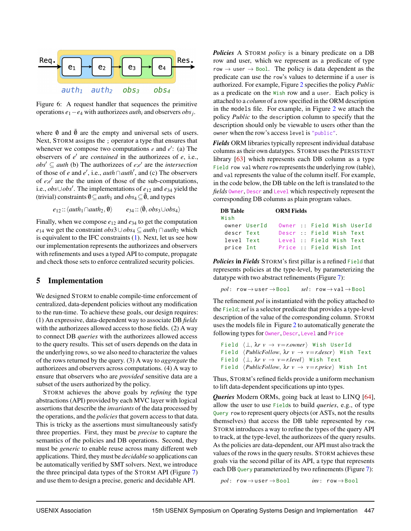<span id="page-7-1"></span>

Figure 6: A request handler that sequences the primitive operations *e*1−*e*<sup>4</sup> with authorizees *auth<sup>i</sup>* and observers *obs<sup>j</sup>* .

where  $\emptyset$  and  $\overline{\emptyset}$  are the empty and universal sets of users. Next, STORM assigns the ; operator a type that ensures that whenever we compose two computations  $e$  and  $e'$ : (a) The observers of *e*<sup>'</sup> are *contained* in the authorizees of *e*, i.e.,  $obs' \subseteq \text{auth (b) The authorities of } e; e' \text{ are the intersection}$ of those of *e* and  $e'$ , i.e., *auth*  $\cap$  *auth*<sup> $\prime$ </sup>, and (c) The observers of *e*;*e'* are the the union of those of the sub-computations, i.e., *obs*∪*obs*<sup>0</sup> . The implementations of *e*<sup>12</sup> and *e*<sup>34</sup> yield the (trivial) constraints  $\mathbf{0} \subset \text{auth}_1$  and  $\text{obs}_4 \subset \overline{\mathbf{0}}$ , and types

> $e_{12}$  ::  $\langle \textit{auth}_1 \cap \textit{auth}_2, \emptyset \rangle$  $e_{34}$ ::  $\langle \bar{\emptyset}, obs_3 \cup obs_4 \rangle$

Finally, when we compose  $e_{12}$  and  $e_{34}$  to get the computation *e*<sub>14</sub> we get the constraint  $obs3∪obs_4 ⊂ \textit{auth}_1 ∩ \textit{auth}_2$  which is equivalent to the IFC constraints [\(1\)](#page-6-2). Next, let us see how our implementation represents the authorizees and observers with refinements and uses a typed API to compute, propagate and check those sets to enforce centralized security policies.

## <span id="page-7-0"></span>5 Implementation

We designed STORM to enable compile-time enforcement of centralized, data-dependent policies without any modification to the run-time. To achieve these goals, our design requires: (1) An expressive, data-dependent way to associate DB *fields* with the authorizees allowed access to those fields. (2) A way to connect DB *queries* with the authorizees allowed access to the query results. This set of users depends on the data in the underlying rows, so we also need to characterize the values of the rows returned by the query. (3) A way to *aggregate* the authorizees and observers across computations. (4) A way to ensure that observers who are *provided* sensitive data are a subset of the users authorized by the policy.

STORM achieves the above goals by *refining* the type abstractions (API) provided by each MVC layer with logical assertions that describe the *invariants* of the data processed by the operations, and the *policies* that govern access to that data. This is tricky as the assertions must simultaneously satisfy three properties. First, they must be *precise* to capture the semantics of the policies and DB operations. Second, they must be *generic* to enable reuse across many different web applications. Third, they must be *decidable* so applications can be automatically verified by SMT solvers. Next, we introduce the three principal data types of the STORM API (Figure [7\)](#page-8-1) and use them to design a precise, generic and decidable API.

*Policies* A STORM *policy* is a binary predicate on a DB row and user, which we represent as a predicate of type row  $\rightarrow$  user  $\rightarrow$  Bool. The policy is data dependent as the predicate can use the row's values to determine if a user is authorized. For example, Figure [2](#page-4-0) specifies the policy *Public* as a predicate on the Wish row and a user. Each policy is attached to a *column* of a row specified in the ORM description in the models file. For example, in Figure [2](#page-4-0) we attach the policy *Public* to the description column to specify that the description should only be viewable to users other than the owner when the row's access level is "public".

*Fields* ORM libraries typically represent individual database columns as their own datatypes. STORM uses the PERSISTENT library [\[63\]](#page-17-10) which represents each DB column as a type Field row val where row represents the underlying row (table), and val represents the value of the column itself. For example, in the code below, the DB table on the left is translated to the *fields* Owner, Descr and Level which respectively represent the corresponding DB columns as plain program values.

| <b>DB</b> Table<br>Wish |              | <b>ORM Fields</b> |                          |                            |
|-------------------------|--------------|-------------------|--------------------------|----------------------------|
|                         | owner UserId |                   |                          | Owner :: Field Wish UserId |
| descr Text              |              |                   | Descr :: Field Wish Text |                            |
| level Text              |              |                   | Level : Field Wish Text  |                            |
| price Int               |              |                   | Price :: Field Wish Int  |                            |

*Policies* in *Fields* STORM's first pillar is a refined Field that represents policies at the type-level, by parameterizing the datatype with two abstract refinements (Figure [7\)](#page-8-1):

```
pol: row → user → Bool sel: row → val → Bool
```
The refinement *pol* is instantiated with the policy attached to the Field; *sel* is a selector predicate that provides a type-level description of the value of the corresponding column. STORM uses the models file in Figure [2](#page-4-0) to automatically generate the following types for Owner, Descr, Level and Price

```
Field \langle \perp, \lambda r \vee \rightarrow v=r.owner\rangle Wish UserId
Field \langle \textit{PublicFollow}, \lambda \textit{r} \textit{v} \rightarrow \textit{v} = \textit{r.descr} \rangle Wish Text
Field \langle \perp, \lambda r \nu \rightarrow v=r. level \rangle Wish Text
Field \langle \textit{PublicFollow}, \lambda \textit{r} \textit{v} \rightarrow \textit{v=r}.\textit{price} \rangle Wish Int
```
Thus, STORM's refined fields provide a uniform mechanism to lift data-dependent specifications up into types.

*Queries* Modern ORMs, going back at least to LINQ [\[64\]](#page-17-11), allow the user to use Fields to build *queries*, e.g., of type Query row to represent query objects (or ASTs, not the results themselves) that access the DB table represented by row. STORM introduces a way to refine the types of the query API to track, at the type-level, the authorizees of the query results. As the policies are data-dependent, our API must also track the values of the rows in the query results. STORM achieves these goals via the second pillar of its API, a type that represents each DB Query parameterized by two refinements (Figure [7\)](#page-8-1):

```
pol: row → user → Bool inv: row → Bool
```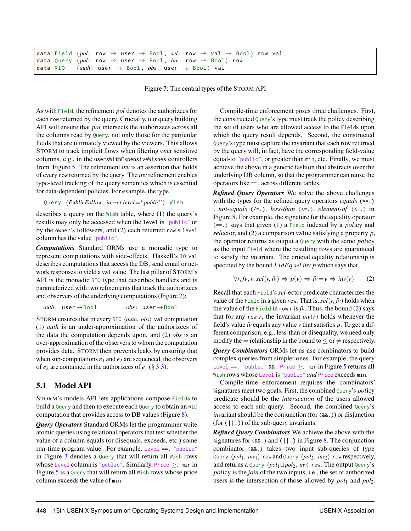<span id="page-8-1"></span>

|  |  | data Field $\langle pol: row \rightarrow user \rightarrow Bool, sel: row \rightarrow val \rightarrow Bool \rangle$ row val                      |  |  |  |
|--|--|-------------------------------------------------------------------------------------------------------------------------------------------------|--|--|--|
|  |  | <b>data</b> Query $\langle pol: \text{row} \rightarrow \text{user} \rightarrow \text{Bool}$ , $inv: \text{row} \rightarrow \text{Bool}$ row     |  |  |  |
|  |  | <b>data</b> RIO $\langle \textit{auth}: \text{ user } \rightarrow \text{Bool}, \textit{obs}: \text{ user } \rightarrow \text{Bool} \rangle$ val |  |  |  |

Figure 7: The central types of the STORM API

As with Field, the refinement *pol* denotes the authorizees for each row returned by the query. Crucially, our query building API will ensure that *pol* intersects the authorizees across all the columns read by Query, not only those for the particular fields that are ultimately viewed by the viewers. This allows STORM to track implicit flows when filtering over sensitive columns, e.g., in the usersWithExpensiveWishes controllers from Figure [5.](#page-5-2) The refinement *inv* is an assertion that holds of every row returned by the query. The *inv* refinement enables type-level tracking of the query semantics which is essential for data-dependent policies. For example, the type

```
Query hPublicFollow, λr→r.level ="public"i Wish
```
describes a query on the Wish table, where (1) the query's results may only be accessed when the level is "public" or by the owner's followers, and (2) each returned row's level column has the value "public".

*Computations* Standard ORMs use a monadic type to represent computations with side-effects. Haskell's IO val describes computations that access the DB, send email or network responses to yield a val value. The last pillar of STORM's API is the monadic RIO type that describes handlers and is parameterized with two refinements that track the authorizees and observers of the underlying computations (Figure [7\)](#page-8-1):

```
auth: user → Bool obs: user → Bool
```
STORM ensures that in every RIO  $\langle \text{auth}, \text{obs} \rangle$  val computation (1) *auth* is an under-approximation of the authorizees of the data the computation depends upon, and (2) *obs* is an over-approximation of the observers to whom the computation provides data. STORM then prevents leaks by ensuring that when sub-computations  $e_1$  and  $e_2$  are sequenced, the observers of  $e_2$  are contained in the authorizees of  $e_1$  (§ [3.3\)](#page-4-1).

## <span id="page-8-0"></span>5.1 Model API

STORM's models API lets applications compose Fields to build a Query and then to execute each Query to obtain an RIO computation that provides access to DB values (Figure [8\)](#page-9-0).

*Query Operators* Standard ORMs let the programmer write atomic queries using relational operators that test whether the value of a column equals (or disequals, exceeds, etc.) some run-time program value. For example, Level ==. "public" in Figure [3](#page-4-2) denotes a Query that will return all Wish rows whose Level column is "public". Similarly, Price  $\geq$ . min in Figure [5](#page-5-2) is a Query that will return all Wish rows whose price column exceeds the value of min.

Compile-time enforcement poses three challenges. First, the constructed Query's type must track the policy describing the set of users who are allowed access to the Fields upon which the query result depends. Second, the constructed Query's type must capture the invariant that each row returned by the query will, in fact, have the corresponding field-value equal-to "public", or greater than min, etc. Finally, we must achieve the above in a generic fashion that abstracts over the underlying DB column, so that the programmer can reuse the operators like ==. across different tables.

*Refined Query Operators* We solve the above challenges with the types for the refined query operators *equals* (==.) , *not-equals* (/=.), *less-than* (<=.), *element-of* (<-.) in Figure [8.](#page-9-0) For example, the signature for the equality operator (==.) says that given (1) a Field indexed by a *pol*icy and *sel*ector, and (2) a comparison value satisfying a property *p*, the operator returns as output a Query with the same *pol*icy as the input Field where the resulting rows are guaranteed to satisfy the *inv*ariant. The crucial equality relationship is specified by the bound *FldEq sel inv p* which says that

<span id="page-8-2"></span>
$$
\forall r, f v, v. \, sel(r, f v) \Rightarrow p(v) \Rightarrow f v = v \Rightarrow inv(r) \qquad (2)
$$

Recall that each Field's *sel*-ector predicate characterizes the value of the Field in a given row. That is,  $sel(r, fv)$  holds when the value of the Field in row  $r$  is  $fv$ . Thus, the bound  $(2)$  says that for any row *r*, the invariant  $inv(r)$  holds whenever the field's value *fv* equals any value *v* that satisfies *p*. To get a different comparison, e.g., less-than or disequality, we need only modify the = relationship in the bound to  $\leq$  or  $\neq$  respectively. *Query Combinators* ORMs let us use combinators to build complex queries from simpler ones. For example, the query Level ==. "public" &&. Price >. min in Figure [5](#page-5-2) returns all Wish rows whose Level is "public" *and* Price exceeds min.

Compile-time enforcement requires the combinators' signatures meet two goals. First, the combined Query's *pol*icy predicate should be the *intersection* of the users allowed access to each sub-query. Second, the combined Query's *inv*ariant should be the conjunction (for (&&.)) or disjunction  $(for (||.))$  of the sub-query invariants.

*Refined Query Combinators* We achieve the above with the signatures for  $(88.)$  $(88.)$  $(88.)$  and  $(||.)$  in Figure 8. The conjunction combinator (&&.) takes two input sub-queries of type Query  $\langle pol_1, inv_1 \rangle$  row and Query  $\langle pol_2, inv_2 \rangle$  row respectively, and returns a Query  $\langle pol_1 \sqcup pol_2, inv \rangle$  row. The output Query's *pol*icy is the *join* of the two inputs, i.e., the set of authorized users is the intersection of those allowed by  $pol_1$  and  $pol_2$ .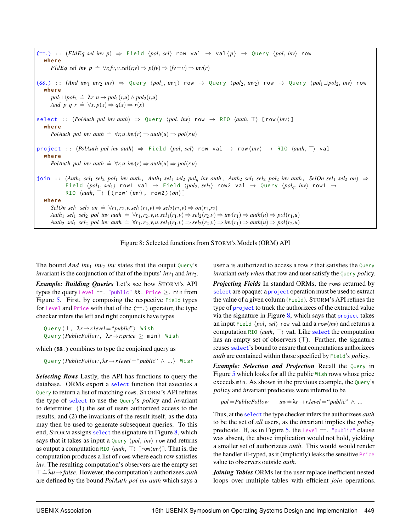<span id="page-9-0"></span> $(==.)$  :: (*FldEq sel inv p*)  $⇒$  Field  $\langle pol, sel \rangle$  row val  $→$  val $\langle p \rangle$   $→$  Query  $\langle pol, inv \rangle$  row **where** *FldEq sel inv*  $p \triangleq \forall r, f v, v.$ *sel*( $r, v$ )  $\Rightarrow p(f v) \Rightarrow (f v = v) \Rightarrow inv(r)$  $(88.)$  ::  $(And inv_1 inv_2 inv) \Rightarrow$  Query  $\langle pol_1, inv_1 \rangle$  row  $\rightarrow$  Query  $\langle pol_2, inv_2 \rangle$  row  $\rightarrow$  Query  $\langle pol_1 \sqcup pol_2, inv \rangle$  row **where**  $p$ *pol*<sub>1</sub>  $\sqcup$  *pol*<sub>2</sub>  $\stackrel{\doteq}{\leq} \lambda r$   $u \rightarrow$   $p$ *ol*<sub>1</sub>(*r*,*u*)  $\wedge$   $p$ *ol*<sub>2</sub>(*r*,*u*) *And p q r*  $\Rightarrow \forall x. p(x) \Rightarrow q(x) \Rightarrow r(x)$  $select :: (PolAuth pol invauth) \Rightarrow Query (pol, inv) row \rightarrow RIO (auth, T) [ row (inv) ]$ **where** *PolAuth pol inv auth*  $\dot{=} \forall r, u \cdot inv(r) \Rightarrow \text{auth}(u) \Rightarrow \text{pol}(r, u)$  $\text{project} :: (PolAuth\ pol\ inv\ author) \Rightarrow \text{Field } \langle pol, sel \rangle \text{ row val } \rightarrow \text{row } \langle inv \rangle \rightarrow \text{RIO } \langle \text{auth}, \top \rangle \text{ val }$ **where** *PolAuth pol inv auth*  $\Rightarrow \forall r, u \cdot inv(r) \Rightarrow \text{auth}(u) \Rightarrow \text{pol}(r, u)$ join :: (Auth<sub>1</sub> sel<sub>1</sub> sel<sub>2</sub> pol<sub>1</sub> inv auth, Auth<sub>1</sub> sel<sub>1</sub> sel<sub>2</sub> pol<sub>a</sub> inv auth, Auth<sub>2</sub> sel<sub>1</sub> sel<sub>2</sub> pol<sub>2</sub> inv auth, SelOn sel<sub>1</sub> sel<sub>2</sub> on)  $\Rightarrow$ Field  $\langle pol_1, sel_1 \rangle$  row1 val  $\rightarrow$  Field  $\langle pol_2, sel_2 \rangle$  row2 val  $\rightarrow$  Query  $\langle pol_a, inv \rangle$  row1  $\rightarrow$ RIO  $\langle \textit{auth}, \top \rangle$  [(row1 $\langle \textit{inv} \rangle$ , row2) $\langle \textit{on} \rangle$ ] **where**  $SelOn$   $sel<sub>1</sub>$   $sel<sub>2</sub>$   $on \doteq \forall r_1, r_2, v.$   $sel<sub>1</sub>(r_1, v) \Rightarrow sel<sub>2</sub>(r_2, v) \Rightarrow on(r_1, r_2)$ Auth<sub>1</sub> sel<sub>1</sub> sel<sub>2</sub> pol inv auth  $\dot{=} \forall r_1, r_2, v, u$ .sel<sub>1</sub> $(r_1, v) \Rightarrow$  sel<sub>2</sub> $(r_2, v) \Rightarrow inv(r_1) \Rightarrow auth(u) \Rightarrow pol(r_1, u)$ Auth<sub>2</sub> sel<sub>1</sub> sel<sub>2</sub> pol inv auth  $\dot{=} \forall r_1, r_2, v, u \ldots s e l_1(r_1, v) \Rightarrow s e l_2(r_2, v) \Rightarrow inv(r_1) \Rightarrow auth(u) \Rightarrow pol(r_2, u)$ 



The bound  $And inv_1 inv_2 inv$  states that the output Query's *invariant is the conjunction of that of the inputs'*  $inv_1$  *and*  $inv_2$ *.* 

*Example: Building Queries* Let's see how STORM's API types the query Level ==. "public"  $&8.$  Price >. min from Figure [5.](#page-5-2) First, by composing the respective Field types for Level and Price with that of the (==.) operator, the type checker infers the left and right conjuncts have types

Query  $\langle ⊥, \lambda r \rightarrow$ *r.level* = "*public*"} Wish  $\text{Query } \langle \text{PublicFollow}, \ \lambda r \rightarrow r.\text{price} \geq \min \rangle$  Wish

which (&&.) combines to type the conjoined query as

Query h*PublicFollow*,λ*r*→*r*.*level* ="*public*" ∧ ...i Wish

*Selecting Rows* Lastly, the API has functions to query the database. ORMs export a select function that executes a Query to return a list of matching rows. STORM's API refines the type of select to use the Query's *pol*icy and *inv*ariant to determine: (1) the set of users authorized access to the results, and (2) the invariants of the result itself, as the data may then be used to generate subsequent queries. To this end, STORM assigns select the signature in Figure [8,](#page-9-0) which says that it takes as input a  $\Omega$ uery  $\langle pol, inv \rangle$  row and returns as output a computation RIO  $\langle \text{auth}, \top \rangle$  [row $\langle \text{inv} \rangle$ ]. That is, the computation produces a list of rows where each row satisfies *inv*. The resulting computation's observers are the empty set  $\top = \lambda u \rightarrow false$ . However, the computation's authorizees *auth*  $\top = \lambda u$ are defined by the bound *PolAuth pol inv auth* which says a

user  $u$  is authorized to access a row  $r$  that satisfies the Query *inv*ariant *only when* that row and user satisfy the Query *pol*icy.

*Projecting Fields* In standard ORMs, the rows returned by select are opaque: a **project** operation must be used to extract the value of a given column (Field). STORM's API refines the type of project to track the authorizees of the extracted value via the signature in Figure  $8$ , which says that project takes an input Field  $\langle pol, sel \rangle$  row val and a row $\langle inv \rangle$  and returns a computation RIO  $\langle \text{auth}, \top \rangle$  val. Like select the computation has an empty set of observers  $(T)$ . Further, the signature reuses select's bound to ensure that computations authorizees *auth* are contained within those specified by Field's *pol*icy.

*Example: Selection and Projection* Recall the Ouery in Figure [5](#page-5-2) which looks for all the public Wish rows whose price exceeds min. As shown in the previous example, the Query's *pol*icy and *inv*ariant predicates were inferred to be

$$
pol = PublicFollow \qquad inv = \lambda r \rightarrow r. level = "public" \wedge ...
$$

Thus, at the select the type checker infers the authorizees *auth* to be the set of *all* users, as the *inv*ariant implies the *pol*icy predicate. If, as in Figure [5,](#page-5-2) the Level  $==$ . "public" clause was absent, the above implication would not hold, yielding a smaller set of authorizees *auth*. This would would render the handler ill-typed, as it (implicitly) leaks the sensitive Price value to observers outside *auth*.

*Joining Tables* ORMs let the user replace inefficient nested loops over multiple tables with efficient *join* operations.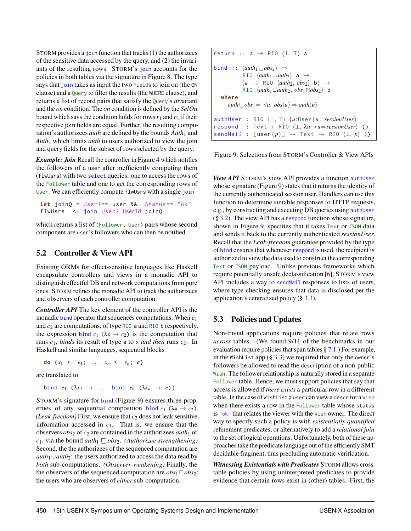STORM provides a *join* function that tracks (1) the authorizees of the sensitive data accessed by the query, and (2) the invariants of the resulting rows. STORM's join accounts for the policies in both tables via the signature in Figure [8.](#page-9-0) The type says that join takes as input the two Fields to join on (the ON clause) and a Query to filter the results (the WHERE clause), and returns a list of record pairs that satisfy the Query's *inv*ariant and the *on* condition. The *on* condition is defined by the *SelOn* bound which says the condition holds for rows  $r_1$  and  $r_2$  if their respective join fields are equal. Further, the resulting computation's authorizees *auth* are defined by the bounds  $Auth<sub>1</sub>$  and *Auth*<sup>2</sup> which limits *auth* to users authorized to view the join and query fields for the subset of rows selected by the query.

*Example: Join* Recall the controller in Figure [4](#page-5-1) which notifies the followers of a user after inefficiently computing them (flwUsrs) with two select queries: one to access the rows of the Follower table and one to get the corresponding rows of User. We can efficiently compute flwUsrs with a single join

```
let joinQ = User1 ==. user &&. Status ==. "ok"
flwUsrs <- join User2 UserId joinQ
```
which returns a list of (Follower, User) pairs whose second component are user's followers who can then be notified.

## 5.2 Controller & View API

Existing ORMs for effect-sensitive languages like Haskell encapsulate controllers and views in a monadic API to distinguish effectful DB and network computations from pure ones. STORM refines the monadic API to track the authorizees and observers of each controller computation.

*Controller API* The key element of the controller API is the monadic bind operator that sequences computations. When *c*<sup>1</sup> and  $c_2$  are computations, of type RIO a and RIO b respectively, the expression bind  $c_1$  ( $\lambda x \rightarrow c_2$ ) is the computation that runs *c*1, *binds* its result of type a to x *and then* runs *c*2. In Haskell and similar languages, sequential blocks

**do**  $\{x_1 \leftarrow e_1; \ldots, x_n \leftarrow e_n; e\}$ 

are translated to

bind  $e_1$  ( $\lambda x_1 \rightarrow \ldots$  bind  $e_n$  ( $\lambda x_n \rightarrow e$ ))

STORM's signature for bind (Figure [9\)](#page-10-0) ensures three properties of any sequential composition bind  $c_1$  ( $\lambda x \rightarrow c_2$ ).  $(Leak-free dom)$  First, we ensure that  $c_2$  does not leak sensitive information accessed in  $c_1$ . That is, we ensure that the observers *obs*<sub>2</sub> of *c*<sub>2</sub> are contained in the authorizees *auth*<sub>1</sub> of *c*<sub>1</sub>, via the bound *auth*<sub>1</sub>  $\sqsubseteq obs_2$ . *(Authorizee-strengthening)* Second, the the authorizees of the sequenced computation are *auth*<sub>1</sub> $\sqcup$ *auth*<sub>2</sub>: the users authorized to access the data read by *both* sub-computations. *(Observer-weakening)* Finally, the the observers of the sequenced computation are  $obs_1 \square obs_2$ : the users who are observers of *either* sub-computation.

<span id="page-10-0"></span>return :: a 
$$
\rightarrow
$$
 RIO  $\langle \bot, \top \rangle$  a  
\nbind ::  $(auth_1 \sqsubseteq obs_2) \Rightarrow$   
\nRIO  $\langleauth_1,auth_2 \rangle$  a  $\rightarrow$   
\n(a  $\rightarrow$  RIO  $\langleauth_1, obs_2 \rangle$  b)  $\rightarrow$   
\nRIO  $\langleauth_1 \sqcup \text{auth}_2, obs_1 \sqcap obs_2 \rangle$  b  
\nwhere  
\n $auth \sqsubseteq obs \doteq \forall u. obs(u) \Rightarrow author(u)$   
\nauthor :: RIO  $\langle \bot, \top \rangle$  { $u:User \mid u = sessionUser$ }  
\nrespond :: Text  $\rightarrow$  RIO  $\langle \bot, \lambda u \rightarrow u = sessionUser \rangle$  ()  
\nsendMail : [user  $\langle p \rangle$  ]  $\rightarrow$  Text  $\rightarrow$  RIO  $\langle \bot, p \rangle$  ()

Figure 9: Selections from STORM's Controller & View APIs

*View API* STORM's view API provides a function authUser whose signature (Figure [9\)](#page-10-0) states that it returns the identity of the currently authenticated session user. Handlers can use this function to determine suitable responses to HTTP requests, e.g., by constructing and executing DB queries using authUser  $(\S 3.2)$  $(\S 3.2)$ . The view API has a respond function whose signature, shown in Figure [9,](#page-10-0) specifies that it takes Text or JSON data and sends it back to the currently authenticated *sessionUser*. Recall that the *Leak-freedom* guarantee provided by the type of bind ensures that whenever respond is used, the recipient is authorized to view the data used to construct the corresponding Text or JSON payload. Unlike previous frameworks which require potentially unsafe declassification [\[6\]](#page-15-5), STORM's view API includes a way to sendMai1 responses to lists of users, where type checking ensures that data is disclosed per the application's centralized policy  $(\S 3.3)$  $(\S 3.3)$ .

# 5.3 Policies and Updates

Non-trivial applications require policies that relate rows *across* tables. (We found 9/11 of the benchmarks in our evaluation require policies that span tables  $\S 7.1$ .) For example, in the WishList app  $(\S 3.3)$  $(\S 3.3)$  we required that only the owner's followers be allowed to read the description of a non-public Wish. The follower relationship is naturally stored in a separate Follower table. Hence, we must support policies that say that access is allowed if *there exists* a particular row in a different table. In the case of WishList a user can view a descr for a Wish when there exists a row in the Follower table whose status is "ok" that relates the viewer with the Wish owner. The direct way to specify such a policy is with *existentially quantified* refinement predicates, or alternatively to add a *relational join* to the set of logical operations. Unfortunately, both of these approaches take the predicate language out of the efficiently SMT decidable fragment, thus precluding automatic verification.

*Witnessing Existentials with Predicates* STORM allows crosstable policies by using uninterpreted predicates to provide evidence that certain rows exist in (other) tables. First, the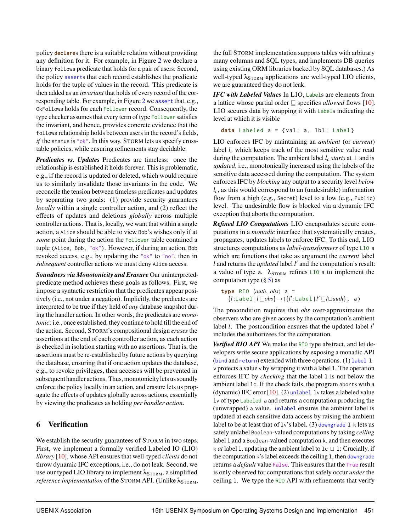policy **declare**s there is a suitable relation without providing any definition for it. For example, in Figure [2](#page-4-0) we declare a binary follows predicate that holds for a pair of users. Second, the policy asserts that each record establishes the predicate holds for the tuple of values in the record. This predicate is then added as an *invariant* that holds of every record of the corresponding table. For example, in Figure [2](#page-4-0) we assert that, e.g., OkFollows holds for each Follower record. Consequently, the type checker assumes that every term of type Follower satisfies the invariant, and hence, provides concrete evidence that the follows relationship holds between users in the record's fields, *if* the status is "ok". In this way, STORM lets us specify crosstable policies, while ensuring refinements stay decidable.

*Predicates vs. Updates* Predicates are timeless: once the relationship is established it holds forever. This is problematic, e.g., if the record is updated or deleted, which would require us to similarly invalidate those invariants in the code. We reconcile the tension between timeless predicates and updates by separating two goals: (1) provide security guarantees *locally* within a single controller action, and (2) reflect the effects of updates and deletions *globally* across multiple controller actions. That is, locally, we want that within a single action, a Alice should be able to view Bob's wishes only if at *some* point during the action the Follower table contained a tuple (Alice, Bob, "ok"). However, if during an action, Bob revoked access, e.g., by updating the "ok" to "no", then in *subsequent* controller actions we must deny Alice access.

*Soundness via Monotonicity and Erasure* Our uninterpretedpredicate method achieves these goals as follows. First, we impose a syntactic restriction that the predicates appear positively (i.e., not under a negation). Implicitly, the predicates are interpreted to be true if they held of *any* database snapshot during the handler action. In other words, the predicates are *monotonic*: i.e., once established, they continue to hold till the end of the action. Second, STORM's compositional design *erases* the assertions at the end of each controller action, as each action is checked in isolation starting with no assertions. That is, the assertions must be re-established by future actions by querying the database, ensuring that if one action updates the database, e.g., to revoke privileges, then accesses will be prevented in subsequent handler actions. Thus, monotonicity lets us soundly enforce the policy locally in an action, and erasure lets us propagate the effects of updates globally across actions, essentially by viewing the predicates as holding *per handler action*.

# <span id="page-11-0"></span>6 Verification

We establish the security guarantees of STORM in two steps. First, we implement a formally verified Labeled IO (LIO) *library* [\[10\]](#page-15-9), whose API ensures that well-typed *clients* do not throw dynamic IFC exceptions, i.e., do not leak. Second, we use our typed LIO library to implement  $\lambda_{STORM}$ , a simplified *reference implementation* of the STORM API. (Unlike  $\lambda_{\text{STORM}}$ ,

the full STORM implementation supports tables with arbitrary many columns and SQL types, and implements DB queries using existing ORM libraries backed by SQL databases.) As well-typed  $\lambda_{\text{STORM}}$  applications are well-typed LIO clients, we are guaranteed they do not leak.

*IFC with Labeled Values* In LIO, Labels are elements from a lattice whose partial order  $\sqsubseteq$  specifies *allowed* flows [\[10\]](#page-15-9). LIO secures data by wrapping it with Labels indicating the level at which it is visible

```
data Labeled a = {val: a, lbl: Label}
```
LIO enforces IFC by maintaining an *ambient* (or *current*) label  $l_c$  which keeps track of the most sensitive value read during the computation. The ambient label  $l_c$  *starts* at  $\perp$  and is *updated*, i.e., monotonically increased using the labels of the sensitive data accessed during the computation. The system enforces IFC by *blocking* any output to a security level *below lc*, as this would correspond to an (undesirable) information flow from a high (e.g., Secret) level to a low (e.g., Public) level. The undesirable flow is blocked via a dynamic IFC exception that aborts the computation.

*Refined LIO Computations* LIO encapsulates secure computations in a *monadic* interface that systematically creates, propagates, updates labels to enforce IFC. To this end, LIO structures computations as *label-transformers* of type LIO a which are functions that take as argument the *current* label *l* and returns the *updated* label *l'* and the computation's result: a value of type a.  $\lambda_{\text{STORM}}$  refines LIO a to implement the computation type  $(\S 5)$  $(\S 5)$  as

```
type RIO \langle \textit{auth}, \textit{obs} \rangle a =
     {l:Label | l \subseteq obs} \rightarrow ({l':Label | l' \sqsubseteq l \sqcup \text{auth}}, a)
```
The precondition requires that *obs* over-approximates the observers who are given access by the computation's ambient label *l*. The postcondition ensures that the updated label *l'* includes the authorizees for the computation.

*Verified RIO API* We make the RIO type abstract, and let developers write secure applications by exposing a monadic API (bind and return) extended with three operations. (1) label l v protects a value v by wrapping it with a label l. The operation enforces IFC by *checking* that the label 1 is not below the ambient label lc. If the check fails, the program aborts with a (dynamic) IFC error  $[10]$ . (2) unlabel 1 $\nu$  takes a labeled value lv of type Labeled a and returns a computation producing the (unwrapped) a value. unlabel ensures the ambient label is updated at each sensitive data access by raising the ambient label to be at least that of  $1v$ 's label. (3) downgrade 1 k lets us safely unlabel Boolean-valued computations by taking *ceiling* label l and a Boolean-valued computation k, and then executes k *at* label 1, updating the ambient label to  $1c \perp 1$ : Crucially, if the computation k's label exceeds the ceiling l, then downgrade returns a *default* value False. This ensures that the True result is only observed for computations that safely occur *under* the ceiling l. We type the RIO API with refinements that verify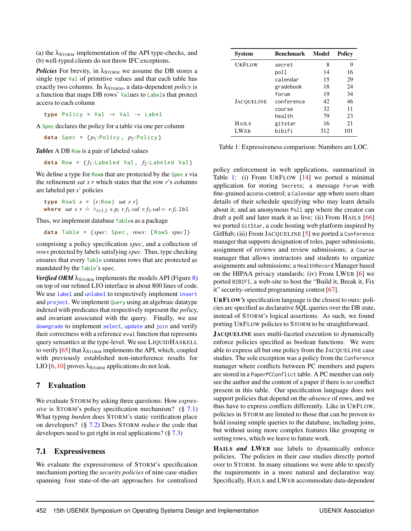(a) the  $\lambda_{STORM}$  implementation of the API type-checks, and (b) well-typed clients do not throw IFC exceptions.

*Policies* For brevity, in  $\lambda_{\text{STORM}}$  we assume the DB stores a single type Val of primitive values and that each table has exactly two columns. In λ<sub>STORM</sub>, a data-dependent *policy* is a function that maps DB rows' Values to Labels that protect access to each column

**type** Policy = Val → Val → Label

A Spec declares the policy for a table via one per column

**data** Spec =  $\{p_1 : \text{Policy}, p_2 : \text{Policy}\}$ 

*Tables* A DB Row is a pair of labeled values

**data** Row =  $\{f_1:$ Labeled Val,  $f_2:$ Labeled Val}

We define a type for Rows that are protected by the Spec *s* via the refinement *sat s r* which states that the row *r*'s columns are labeled per *s*' policies

**type** RowS  $s = \{r:Row \mid sat \ s \ r\}$ where *sat*  $s \, r \doteq \wedge_{i \in 1,2} s.p_i \, r.f_1.val \, r.f_2.val = r.f_i.1b1$ 

Thus, we implement database Tables as a package

**data** Table = {*spec* : Spec , *rows*: [ RowS *spec*]}

comprising a policy specification *spec*, and a collection of *rows* protected by labels satisfying *spec*. Thus, type checking ensures that every Table contains rows that are protected as mandated by the Table's spec.

*Verified ORM*  $\lambda_{\text{STORM}}$  implements the models API (Figure [8\)](#page-9-0) on top of our refined LIO interface in about 800 lines of code. We use label and unlabel to respectively implement insert and project. We implement Query using an algebraic datatype indexed with predicates that respectively represent the *pol*icy, and *inv*ariant associated with the query. Finally, we use downgrade to implement select, update and join and verify their correctness with a reference eval function that represents query semantics at the type-level. We use LIQUIDHASKELL to verify [\[65\]](#page-17-12) that  $\lambda_{\text{STORM}}$  implements the API, which, coupled with previously established non-interference results for LIO [\[6,](#page-15-5) [10\]](#page-15-9) proves  $\lambda_{\text{STORM}}$  applications do not leak.

#### <span id="page-12-0"></span>7 Evaluation

We evaluate STORM by asking three questions: How *expressive* is STORM's policy specification mechanism? (§ [7.1\)](#page-12-1) What typing *burden* does STORM's static verification place on developers? (§ [7.2\)](#page-13-0) Does STORM *reduce* the code that developers need to get right in real applications? (§ [7.3\)](#page-13-1)

## <span id="page-12-1"></span>7.1 Expressiveness

We evaluate the expressiveness of STORM's specification mechanism porting the *security policies* of nine case studies spanning four state-of-the-art approaches for centralized

<span id="page-12-2"></span>

| Svstem            | <b>Benchmark</b> | Model | Policy |  |
|-------------------|------------------|-------|--------|--|
| URFLOW            | secret           | 8     | 9      |  |
|                   | poll             | 14    | 16     |  |
|                   | calendar         | 15    | 29     |  |
|                   | gradebook        | 18    | 24     |  |
|                   | forum            | 19    | 34     |  |
| <b>JACOUELINE</b> | conference       | 42    | 46     |  |
|                   | course           | 32    | 11     |  |
|                   | health           | 79    | 23     |  |
| <b>HAILS</b>      | gitstar          | 16    | 21     |  |
| <b>LWEB</b>       | bibifi           | 312   | 101    |  |

Table 1: Expressiveness comparison: Numbers are LOC.

policy enforcement in web applications, summarized in Table [1:](#page-12-2) (i) From URFLOW [\[14\]](#page-15-13) we ported a minimal application for storing Secrets; a message Forum with fine-grained access-control; a Calendar app where users share details of their schedule specifying who may learn details about it; and an anonymous Poll app where the creator can draft a poll and later mark it as live; (ii) From HAILS [\[66\]](#page-17-13) we ported GitStar, a code hosting web platform inspired by GitHub; (iii) From JACQUELINE [\[5\]](#page-15-4) we ported a Conference manager that supports designation of roles, paper submissions, assignment of reviews and review submissions; a Course manager that allows instructors and students to organize assignments and submissions; a HealthRecord Manager based on the HIPAA privacy standards; (iv) From LWEB [\[6\]](#page-15-5) we ported BIBIFI, a web-site to host the "Build it, Break it, Fix it" security-oriented programming contest [\[67\]](#page-17-14).

URFLOW*'s* specification language is the closest to ours: policies are specified as declarative SQL queries over the DB state, instead of STORM's logical assertions. As such, we found porting URFLOW policies to STORM to be straightforward.

JACQUELINE uses multi-faceted execution to dynamically enforce policies specified as boolean functions. We were able to express all but one policy from the JACQUELINE case studies. The sole exception was a policy from the Conference manager where conflicts between PC members and papers are stored in a PaperPCConflict table. A PC member can only see the author and the content of a paper if there is *no* conflict present in this table. Our specification language does not support policies that depend on the *absence* of rows, and we thus have to express conflicts differently. Like in URFLOW, policies in STORM are limited to those that can be proven to hold issuing simple queries to the database, including joins, but without using more complex features like grouping or sorting rows, which we leave to future work.

HAILS *and* LWEB use labels to dynamically enforce policies. The policies in their case studies directly ported over to STORM. In many situations we were able to specify the requirements in a more natural and declarative way. Specifically, HAILS and LWEB accommodate data-dependent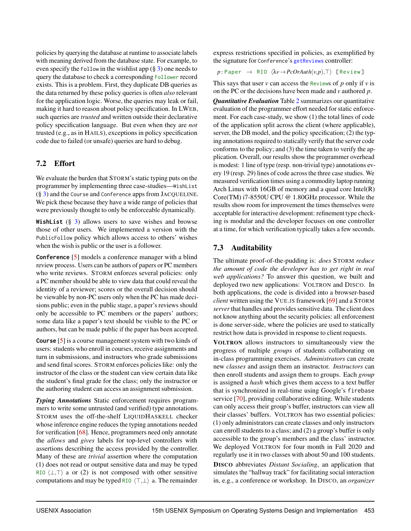policies by querying the database at runtime to associate labels with meaning derived from the database state. For example, to even specify the Follow in the wishlist app  $(\S 3)$  $(\S 3)$  one needs to query the database to check a corresponding Follower record exists. This is a problem. First, they duplicate DB queries as the data returned by these policy queries is often *also* relevant for the application logic. Worse, the queries may leak or fail, making it hard to reason about policy specification. In LWEB, such queries are *trusted* and written outside their declarative policy specification language. But even when they are *not* trusted (e.g., as in HAILS), exceptions in policy specification code due to failed (or unsafe) queries are hard to debug.

## <span id="page-13-0"></span>7.2 Effort

We evaluate the burden that STORM's static typing puts on the programmer by implementing three case-studies—WishList (§ [3\)](#page-3-0) and the Course and Conference apps from JACQUELINE. We pick these because they have a wide range of policies that were previously thought to only be enforceable dynamically.

**WishList** (§ [3\)](#page-3-0) allows users to save wishes and browse those of other users. We implemented a version with the PublicFollow policy which allows access to others' wishes when the wish is public or the user is a follower.

**Conference** [\[5\]](#page-15-4) models a conference manager with a blind review process. Users can be authors of papers or PC members who write reviews. STORM enforces several policies: only a PC member should be able to view data that could reveal the identity of a reviewer; scores or the overall decision should be viewable by non-PC users only when the PC has made decisions public; even in the public stage, a paper's reviews should only be accessible to PC members or the papers' authors; some data like a paper's text should be visible to the PC or authors, but can be made public if the paper has been accepted.

**Course** [\[5\]](#page-15-4) is a course management system with two kinds of users: students who enroll in courses, receive assignments and turn in submissions, and instructors who grade submissions and send final scores. STORM enforces policies like: only the instructor of the class or the student can view certain data like the student's final grade for the class; only the instructor or the authoring student can access an assignment submission.

*Typing Annotations* Static enforcement requires programmers to write some untrusted (and verified) type annotations. STORM uses the off-the-shelf LIQUIDHASKELL checker whose inference engine reduces the typing annotations needed for verification [\[68\]](#page-17-15). Hence, programmers need only annotate the *allows* and *gives* labels for top-level controllers with assertions describing the access provided by the controller. Many of these are *trivial* assertion where the computation (1) does not read or output sensitive data and may be typed RIO  $\langle \perp, \perp \rangle$  a or (2) is not composed with other sensitive computations and may be typed RIO  $\langle \top, \bot \rangle$  a. The remainder

express restrictions specified in policies, as exemplified by the signature for Conference's getReviews controller:

 $p:$  Paper  $\rightarrow$  RIO  $\langle \lambda v \rightarrow PcOrAuth(v,p), \top \rangle$  [Review]

This says that user *v* can access the Reviews of *p* only if *v* is on the PC or the decisions have been made and *v* authored *p*.

*Quantitative Evaluation* Table [2](#page-14-0) summarizes our quantitative evaluation of the programmer effort needed for static enforcement. For each case-study, we show (1) the total lines of code of the application split across the client (where applicable), server, the DB model, and the policy specification; (2) the typing annotations required to statically verify that the server code conforms to the policy; and (3) the time taken to verify the application. Overall, our results show the programmer overhead is modest: 1 line of type (resp. non-trivial type) annotations every 19 (resp. 29) lines of code across the three case studies. We measured verification times using a commodity laptop running Arch Linux with 16GB of memory and a quad core Intel(R) Core(TM) i7-8550U CPU @ 1.80GHz processor. While the results show room for improvement the times themselves were acceptable for interactive development: refinement type checking is modular and the developer focuses on one controller at a time, for which verification typically takes a few seconds.

# <span id="page-13-1"></span>7.3 Auditability

The ultimate proof-of-the-pudding is: *does* STORM *reduce the amount of code the developer has to get right in real web applications?* To answer this question, we built and deployed two new applications: VOLTRON and DISCO. In both applications, the code is divided into a browser-based *client* written using the VUE.JS framework [\[69\]](#page-17-16) and a STORM *server* that handles and provides sensitive data. The client does not know anything about the security policies: all enforcement is done server-side, where the policies are used to statically restrict how data is provided in response to client requests.

VOLTRON allows instructors to simultaneously view the progress of multiple *groups* of students collaborating on in-class programming exercises. *Administrators* can create new *classes* and assign them an instructor. *Instructors* can then enroll students and assign them to groups. Each *group* is assigned a *hash* which gives them access to a text buffer that is synchronized in real-time using Google's firebase service [\[70\]](#page-17-17), providing collaborative editing. While students can only access their group's buffer, instructors can view all their classes' buffers. VOLTRON has two essential policies: (1) only administrators can create classes and only instructors can enroll students to a class; and (2) a group's buffer is only accessible to the group's members and the class' instructor. We deployed VOLTRON for four month in Fall 2020 and regularly use it in two classes with about 50 and 100 students. DISCO abbreviates *Distant Socialing*, an application that simulates the "hallway track" for facilitating social interaction in, e.g., a conference or workshop. In DISCO, an *organizer*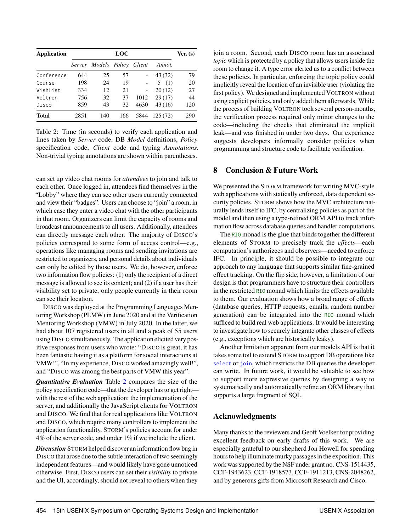<span id="page-14-0"></span>

| <b>Application</b> | <b>LOC</b> |                             |     |      | Ver. (s) |     |
|--------------------|------------|-----------------------------|-----|------|----------|-----|
|                    |            | Server Models Policy Client |     |      | Annot.   |     |
| Conference         | 644        | 25                          | 57  |      | 43 (32)  | 79  |
| Course             | 198        | 24                          | 19  |      | 5(1)     | 20  |
| WishList           | 334        | 12                          | 21  |      | 20(12)   | 27  |
| Voltron            | 756        | 32                          | 37  | 1012 | 29(17)   | 44  |
| Disco              | 859        | 43                          | 32  | 4630 | 43(16)   | 120 |
| <b>Total</b>       | 2851       | 140                         | 166 | 5844 | 125(72)  | 290 |

Table 2: Time (in seconds) to verify each application and lines taken by *Server* code, DB *Model* definitions, *Policy* specification code, *Client* code and typing *Annotations*. Non-trivial typing annotations are shown within parentheses.

can set up video chat rooms for *attendees* to join and talk to each other. Once logged in, attendees find themselves in the "Lobby" where they can see other users currently connected and view their "badges". Users can choose to "join" a room, in which case they enter a video chat with the other participants in that room. Organizers can limit the capacity of rooms and broadcast announcements to all users. Additionally, attendees can directly message each other. The majority of DISCO's policies correspond to some form of access control—e.g., operations like managing rooms and sending invitations are restricted to organizers, and personal details about individuals can only be edited by those users. We do, however, enforce two information flow policies: (1) only the recipient of a direct message is allowed to see its content; and (2) if a user has their visibility set to private, only people currently in their room can see their location.

DISCO was deployed at the Programming Languages Mentoring Workshop (PLMW) in June 2020 and at the Verification Mentoring Workshop (VMW) in July 2020. In the latter, we had about 107 registered users in all and a peak of 55 users using DISCO simultaneously. The application elicited very positive responses from users who wrote: "DISCO is great, it has been fantastic having it as a platform for social interactions at VMW!", "In my experience, DISCO worked amazingly well!", and "DISCO was among the best parts of VMW this year".

*Quantitative Evaluation* Table [2](#page-14-0) compares the size of the policy specification code—that the developer has to get right with the rest of the web application: the implementation of the server, and additionally the JavaScript clients for VOLTRON and DISCO. We find that for real applications like VOLTRON and DISCO, which require many controllers to implement the application functionality, STORM's policies account for under 4% of the server code, and under 1% if we include the client.

*Discussion* STORM helped discover an information flow bug in DISCO that arose due to the subtle interaction of two seemingly independent features—and would likely have gone unnoticed otherwise. First, DISCO users can set their *visibility* to private and the UI, accordingly, should not reveal to others when they join a room. Second, each DISCO room has an associated *topic* which is protected by a policy that allows users inside the room to change it. A type error alerted us to a conflict between these policies. In particular, enforcing the topic policy could implicitly reveal the location of an invisible user (violating the first policy). We designed and implemented VOLTRON without using explicit policies, and only added them afterwards. While the process of building VOLTRON took several person-months, the verification process required only minor changes to the code—including the checks that eliminated the implicit leak—and was finished in under two days. Our experience suggests developers informally consider policies when programming and structure code to facilitate verification.

## 8 Conclusion & Future Work

We presented the STORM framework for writing MVC-style web applications with statically enforced, data dependent security policies. STORM shows how the MVC architecture naturally lends itself to IFC, by centralizing policies as part of the model and then using a type-refined ORM API to track information flow across database queries and handler computations.

The RIO monad is the glue that binds together the different elements of STORM to precisely track the *effects*—each computation's authorizees and observers—needed to enforce IFC. In principle, it should be possible to integrate our approach to any language that supports similar fine-grained effect tracking. On the flip side, however, a limitation of our design is that programmers have to structure their controllers in the restricted RIO monad which limits the effects available to them. Our evaluation shows how a broad range of effects (database queries, HTTP requests, emails, random number generation) can be integrated into the RIO monad which sufficed to build real web applications. It would be interesting to investigate how to securely integrate other classes of effects (e.g., exceptions which are historically leaky).

Another limitation apparent from our models API is that it takes some toil to extend STORM to support DB operations like select or join, which restricts the DB queries the developer can write. In future work, it would be valuable to see how to support more expressive queries by designing a way to systematically and automatically refine an ORM library that supports a large fragment of SQL.

## Acknowledgments

Many thanks to the reviewers and Geoff Voelker for providing excellent feedback on early drafts of this work. We are especially grateful to our shepherd Jon Howell for spending hours to help illuminate murky passages in the exposition. This work was supported by the NSF under grant no. CNS-1514435, CCF-1943623, CCF-1918573, CCF-1911213, CNS-2048262, and by generous gifts from Microsoft Research and Cisco.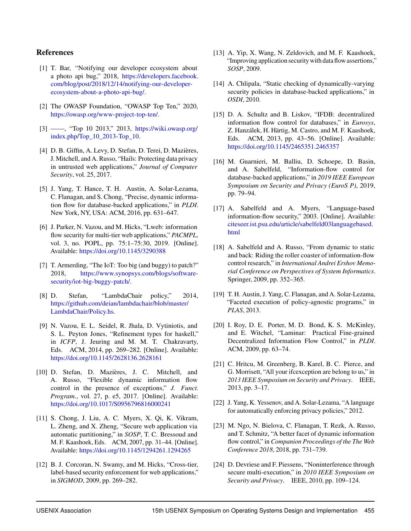## References

- <span id="page-15-0"></span>[1] T. Bar, "Notifying our developer ecosystem about a photo api bug," 2018, [https://developers.facebook.](https://developers.facebook.com/blog/post/2018/12/14/notifying-our-developer-ecosystem-about-a-photo-api-bug/) [com/blog/post/2018/12/14/notifying-our-developer](https://developers.facebook.com/blog/post/2018/12/14/notifying-our-developer-ecosystem-about-a-photo-api-bug/)[ecosystem-about-a-photo-api-bug/.](https://developers.facebook.com/blog/post/2018/12/14/notifying-our-developer-ecosystem-about-a-photo-api-bug/)
- <span id="page-15-1"></span>[2] The OWASP Foundation, "OWASP Top Ten," 2020, [https://owasp.org/www-project-top-ten/.](https://owasp.org/www-project-top-ten/)
- <span id="page-15-2"></span>[3] ——, "Top 10 2013," 2013, [https://wiki.owasp.org/](https://wiki.owasp.org/index.php/Top_10_2013-Top_10) [index.php/Top\\_10\\_2013-Top\\_10.](https://wiki.owasp.org/index.php/Top_10_2013-Top_10)
- <span id="page-15-3"></span>[4] D. B. Giffin, A. Levy, D. Stefan, D. Terei, D. Mazières, J. Mitchell, and A. Russo, "Hails: Protecting data privacy in untrusted web applications," *Journal of Computer Security*, vol. 25, 2017.
- <span id="page-15-4"></span>[5] J. Yang, T. Hance, T. H. Austin, A. Solar-Lezama, C. Flanagan, and S. Chong, "Precise, dynamic information flow for database-backed applications," in *PLDI*. New York, NY, USA: ACM, 2016, pp. 631–647.
- <span id="page-15-5"></span>[6] J. Parker, N. Vazou, and M. Hicks, "Lweb: information flow security for multi-tier web applications," *PACMPL*, vol. 3, no. POPL, pp. 75:1–75:30, 2019. [Online]. Available: <https://doi.org/10.1145/3290388>
- <span id="page-15-6"></span>[7] T. Armerding, "The IoT: Too big (and buggy) to patch?" 2018, [https://www.synopsys.com/blogs/software](https://www.synopsys.com/blogs/software-security/iot-big-buggy-patch/)[security/iot-big-buggy-patch/.](https://www.synopsys.com/blogs/software-security/iot-big-buggy-patch/)
- <span id="page-15-7"></span>[8] D. Stefan, "LambdaChair policy," 2014, [https://github.com/deian/lambdachair/blob/master/](https://github.com/deian/lambdachair/blob/master/LambdaChair/Policy.hs) [LambdaChair/Policy.hs.](https://github.com/deian/lambdachair/blob/master/LambdaChair/Policy.hs)
- <span id="page-15-8"></span>[9] N. Vazou, E. L. Seidel, R. Jhala, D. Vytiniotis, and S. L. Peyton Jones, "Refinement types for haskell," in *ICFP*, J. Jeuring and M. M. T. Chakravarty, Eds. ACM, 2014, pp. 269–282. [Online]. Available: <https://doi.org/10.1145/2628136.2628161>
- <span id="page-15-9"></span>[10] D. Stefan, D. Mazières, J. C. Mitchell, and A. Russo, "Flexible dynamic information flow control in the presence of exceptions," *J. Funct. Program.*, vol. 27, p. e5, 2017. [Online]. Available: <https://doi.org/10.1017/S0956796816000241>
- <span id="page-15-10"></span>[11] S. Chong, J. Liu, A. C. Myers, X. Qi, K. Vikram, L. Zheng, and X. Zheng, "Secure web application via automatic partitioning," in *SOSP*, T. C. Bressoud and M. F. Kaashoek, Eds. ACM, 2007, pp. 31–44. [Online]. Available: <https://doi.org/10.1145/1294261.1294265>
- <span id="page-15-11"></span>[12] B. J. Corcoran, N. Swamy, and M. Hicks, "Cross-tier, label-based security enforcement for web applications," in *SIGMOD*, 2009, pp. 269–282.
- <span id="page-15-12"></span>[13] A. Yip, X. Wang, N. Zeldovich, and M. F. Kaashoek, "Improving application security with data flow assertions," *SOSP*, 2009.
- <span id="page-15-13"></span>[14] A. Chlipala, "Static checking of dynamically-varying security policies in database-backed applications," in *OSDI*, 2010.
- <span id="page-15-14"></span>[15] D. A. Schultz and B. Liskov, "IFDB: decentralized information flow control for databases," in *Eurosys*, Z. Hanzálek, H. Härtig, M. Castro, and M. F. Kaashoek, Eds. ACM, 2013, pp. 43–56. [Online]. Available: <https://doi.org/10.1145/2465351.2465357>
- <span id="page-15-15"></span>[16] M. Guarnieri, M. Balliu, D. Schoepe, D. Basin, and A. Sabelfeld, "Information-flow control for database-backed applications," in *2019 IEEE European Symposium on Security and Privacy (EuroS P)*, 2019, pp. 79–94.
- <span id="page-15-16"></span>[17] A. Sabelfeld and A. Myers, "Language-based information-flow security," 2003. [Online]. Available: [citeseer.ist.psu.edu/article/sabelfeld03languagebased.](citeseer.ist.psu.edu/article/sabelfeld03languagebased.html) [html](citeseer.ist.psu.edu/article/sabelfeld03languagebased.html)
- <span id="page-15-17"></span>[18] A. Sabelfeld and A. Russo, "From dynamic to static and back: Riding the roller coaster of information-flow control research," in *International Andrei Ershov Memorial Conference on Perspectives of System Informatics*. Springer, 2009, pp. 352–365.
- <span id="page-15-18"></span>[19] T. H. Austin, J. Yang, C. Flanagan, and A. Solar-Lezama, "Faceted execution of policy-agnostic programs," in *PLAS*, 2013.
- [20] I. Roy, D. E. Porter, M. D. Bond, K. S. McKinley, and E. Witchel, "Laminar: Practical Fine-grained Decentralized Information Flow Control," in *PLDI*. ACM, 2009, pp. 63–74.
- [21] C. Hritcu, M. Greenberg, B. Karel, B. C. Pierce, and G. Morrisett, "All your ifcexception are belong to us," in *2013 IEEE Symposium on Security and Privacy*. IEEE, 2013, pp. 3–17.
- <span id="page-15-19"></span>[22] J. Yang, K. Yessenov, and A. Solar-Lezama, "A language for automatically enforcing privacy policies," 2012.
- <span id="page-15-20"></span>[23] M. Ngo, N. Bielova, C. Flanagan, T. Rezk, A. Russo, and T. Schmitz, "A better facet of dynamic information flow control," in *Companion Proceedings of the The Web Conference 2018*, 2018, pp. 731–739.
- <span id="page-15-21"></span>[24] D. Devriese and F. Piessens, "Noninterference through secure multi-execution," in *2010 IEEE Symposium on Security and Privacy*. IEEE, 2010, pp. 109–124.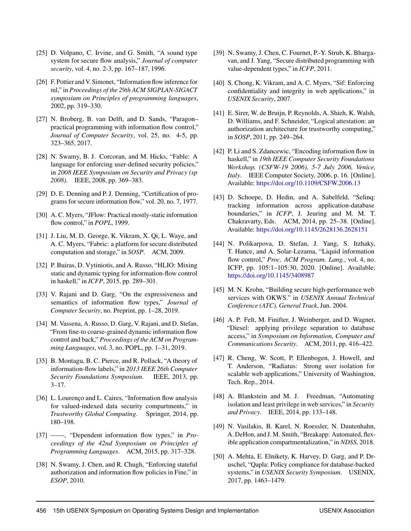- <span id="page-16-0"></span>[25] D. Volpano, C. Irvine, and G. Smith, "A sound type system for secure flow analysis," *Journal of computer security*, vol. 4, no. 2-3, pp. 167–187, 1996.
- [26] F. Pottier and V. Simonet, "Information flow inference for ml," in *Proceedings of the 29th ACM SIGPLAN-SIGACT symposium on Principles of programming languages*, 2002, pp. 319–330.
- [27] N. Broberg, B. van Delft, and D. Sands, "Paragon– practical programming with information flow control," *Journal of Computer Security*, vol. 25, no. 4-5, pp. 323–365, 2017.
- <span id="page-16-1"></span>[28] N. Swamy, B. J. Corcoran, and M. Hicks, "Fable: A language for enforcing user-defined security policies," in *2008 IEEE Symposium on Security and Privacy (sp 2008)*. IEEE, 2008, pp. 369–383.
- <span id="page-16-2"></span>[29] D. E. Denning and P. J. Denning, "Certification of programs for secure information flow," vol. 20, no. 7, 1977.
- <span id="page-16-3"></span>[30] A. C. Myers, "JFlow: Practical mostly-static information flow control," in *POPL*, 1999.
- [31] J. Liu, M. D. George, K. Vikram, X. Qi, L. Waye, and A. C. Myers, "Fabric: a platform for secure distributed computation and storage," in *SOSP*. ACM, 2009.
- <span id="page-16-4"></span>[32] P. Buiras, D. Vytiniotis, and A. Russo, "HLIO: Mixing" static and dynamic typing for information-flow control in haskell," in *ICFP*, 2015, pp. 289–301.
- <span id="page-16-5"></span>[33] V. Rajani and D. Garg, "On the expressiveness and semantics of information flow types," *Journal of Computer Security*, no. Preprint, pp. 1–28, 2019.
- <span id="page-16-6"></span>[34] M. Vassena, A. Russo, D. Garg, V. Rajani, and D. Stefan, "From fine-to coarse-grained dynamic information flow control and back," *Proceedings of the ACM on Programming Languages*, vol. 3, no. POPL, pp. 1–31, 2019.
- <span id="page-16-7"></span>[35] B. Montagu, B. C. Pierce, and R. Pollack, "A theory of information-flow labels," in *2013 IEEE 26th Computer Security Foundations Symposium*. IEEE, 2013, pp.  $3 - 17$ .
- <span id="page-16-8"></span>[36] L. Lourenço and L. Caires, "Information flow analysis for valued-indexed data security compartments," in *Trustworthy Global Computing*. Springer, 2014, pp. 180–198.
- [37] ——, "Dependent information flow types," in *Proceedings of the 42nd Symposium on Principles of Programming Languages*. ACM, 2015, pp. 317–328.
- <span id="page-16-9"></span>[38] N. Swamy, J. Chen, and R. Chugh, "Enforcing stateful authorization and information flow policies in Fine," in *ESOP*, 2010.
- <span id="page-16-10"></span>[39] N. Swamy, J. Chen, C. Fournet, P.-Y. Strub, K. Bhargavan, and J. Yang, "Secure distributed programming with value-dependent types," in *ICFP*, 2011.
- <span id="page-16-11"></span>[40] S. Chong, K. Vikram, and A. C. Myers, "Sif: Enforcing confidentiality and integrity in web applications," in *USENIX Security*, 2007.
- <span id="page-16-12"></span>[41] E. Sirer, W. de Bruijn, P. Reynolds, A. Shieh, K. Walsh, D. Williams, and F. Schneider, "Logical attestation: an authorization architecture for trustworthy computing," in *SOSP*, 2011, pp. 249–264.
- <span id="page-16-13"></span>[42] P. Li and S. Zdancewic, "Encoding information flow in haskell," in *19th IEEE Computer Security Foundations Workshop, (CSFW-19 2006), 5-7 July 2006, Venice, Italy*. IEEE Computer Society, 2006, p. 16. [Online]. Available: <https://doi.org/10.1109/CSFW.2006.13>
- <span id="page-16-14"></span>[43] D. Schoepe, D. Hedin, and A. Sabelfeld, "Seling: tracking information across application-database boundaries," in *ICFP*, J. Jeuring and M. M. T. Chakravarty, Eds. ACM, 2014, pp. 25–38. [Online]. Available: <https://doi.org/10.1145/2628136.2628151>
- <span id="page-16-15"></span>[44] N. Polikarpova, D. Stefan, J. Yang, S. Itzhaky, T. Hance, and A. Solar-Lezama, "Liquid information flow control," *Proc. ACM Program. Lang.*, vol. 4, no. ICFP, pp. 105:1–105:30, 2020. [Online]. Available: <https://doi.org/10.1145/3408987>
- <span id="page-16-16"></span>[45] M. N. Krohn, "Building secure high-performance web services with OKWS." in *USENIX Annual Technical Conference (ATC), General Track*, Jun. 2004.
- [46] A. P. Felt, M. Finifter, J. Weinberger, and D. Wagner, "Diesel: applying privilege separation to database access," in *Symposium on Information, Computer and Communications Security*. ACM, 2011, pp. 416–422.
- [47] R. Cheng, W. Scott, P. Ellenbogen, J. Howell, and T. Anderson, "Radiatus: Strong user isolation for scalable web applications," University of Washington, Tech. Rep., 2014.
- [48] A. Blankstein and M. J. Freedman, "Automating isolation and least privilege in web services," in *Security and Privacy*. IEEE, 2014, pp. 133–148.
- <span id="page-16-17"></span>[49] N. Vasilakis, B. Karel, N. Roessler, N. Dautenhahn, A. DeHon, and J. M. Smith, "Breakapp: Automated, flexible application compartmentalization," in *NDSS*, 2018.
- <span id="page-16-18"></span>[50] A. Mehta, E. Elnikety, K. Harvey, D. Garg, and P. Druschel, "Qapla: Policy compliance for database-backed systems," in *USENIX Security Symposium*. USENIX, 2017, pp. 1463–1479.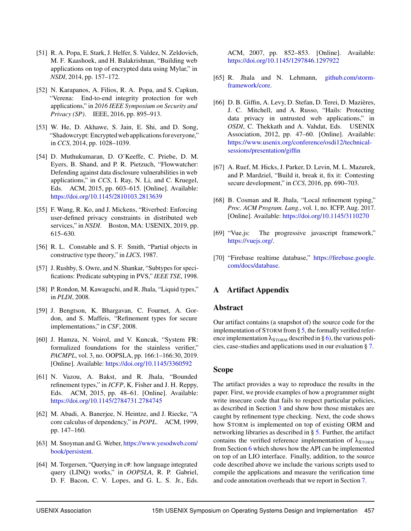- <span id="page-17-0"></span>[51] R. A. Popa, E. Stark, J. Helfer, S. Valdez, N. Zeldovich, M. F. Kaashoek, and H. Balakrishnan, "Building web applications on top of encrypted data using Mylar," in *NSDI*, 2014, pp. 157–172.
- [52] N. Karapanos, A. Filios, R. A. Popa, and S. Capkun, "Verena: End-to-end integrity protection for web applications," in *2016 IEEE Symposium on Security and Privacy (SP)*. IEEE, 2016, pp. 895–913.
- <span id="page-17-1"></span>[53] W. He, D. Akhawe, S. Jain, E. Shi, and D. Song, "Shadowcrypt: Encrypted web applications for everyone," in *CCS*, 2014, pp. 1028–1039.
- <span id="page-17-2"></span>[54] D. Muthukumaran, D. O'Keeffe, C. Priebe, D. M. Eyers, B. Shand, and P. R. Pietzuch, "Flowwatcher: Defending against data disclosure vulnerabilities in web applications," in *CCS*, I. Ray, N. Li, and C. Kruegel, Eds. ACM, 2015, pp. 603–615. [Online]. Available: <https://doi.org/10.1145/2810103.2813639>
- <span id="page-17-3"></span>[55] F. Wang, R. Ko, and J. Mickens, "Riverbed: Enforcing user-defined privacy constraints in distributed web services," in *NSDI*. Boston, MA: USENIX, 2019, pp. 615–630.
- <span id="page-17-4"></span>[56] R. L. Constable and S. F. Smith, "Partial objects in constructive type theory," in *LICS*, 1987.
- <span id="page-17-5"></span>[57] J. Rushby, S. Owre, and N. Shankar, "Subtypes for specifications: Predicate subtyping in PVS," *IEEE TSE*, 1998.
- <span id="page-17-6"></span>[58] P. Rondon, M. Kawaguchi, and R. Jhala, "Liquid types," in *PLDI*, 2008.
- [59] J. Bengtson, K. Bhargavan, C. Fournet, A. Gordon, and S. Maffeis, "Refinement types for secure implementations," in *CSF*, 2008.
- <span id="page-17-7"></span>[60] J. Hamza, N. Voirol, and V. Kuncak, "System FR: formalized foundations for the stainless verifier," *PACMPL*, vol. 3, no. OOPSLA, pp. 166:1–166:30, 2019. [Online]. Available: <https://doi.org/10.1145/3360592>
- <span id="page-17-8"></span>[61] N. Vazou, A. Bakst, and R. Jhala, "Bounded refinement types," in *ICFP*, K. Fisher and J. H. Reppy, Eds. ACM, 2015, pp. 48–61. [Online]. Available: <https://doi.org/10.1145/2784731.2784745>
- <span id="page-17-9"></span>[62] M. Abadi, A. Banerjee, N. Heintze, and J. Riecke, "A core calculus of dependency," in *POPL*. ACM, 1999, pp. 147–160.
- <span id="page-17-10"></span>[63] M. Snoyman and G. Weber, [https://www.yesodweb.com/](https://www.yesodweb.com/book/persistent) [book/persistent.](https://www.yesodweb.com/book/persistent)
- <span id="page-17-11"></span>[64] M. Torgersen, "Querying in c#: how language integrated query (LINQ) works," in *OOPSLA*, R. P. Gabriel, D. F. Bacon, C. V. Lopes, and G. L. S. Jr., Eds.

ACM, 2007, pp. 852–853. [Online]. Available: <https://doi.org/10.1145/1297846.1297922>

- <span id="page-17-12"></span>[65] R. Jhala and N. Lehmann, [github.com/storm](github.com/storm-framework/core)[framework/core.](github.com/storm-framework/core)
- <span id="page-17-13"></span>[66] D. B. Giffin, A. Levy, D. Stefan, D. Terei, D. Mazières, J. C. Mitchell, and A. Russo, "Hails: Protecting data privacy in untrusted web applications," in *OSDI*, C. Thekkath and A. Vahdat, Eds. USENIX Association, 2012, pp. 47–60. [Online]. Available: [https://www.usenix.org/conference/osdi12/technical](https://www.usenix.org/conference/osdi12/technical-sessions/presentation/giffin)[sessions/presentation/giffin](https://www.usenix.org/conference/osdi12/technical-sessions/presentation/giffin)
- <span id="page-17-14"></span>[67] A. Ruef, M. Hicks, J. Parker, D. Levin, M. L. Mazurek, and P. Mardziel, "Build it, break it, fix it: Contesting secure development," in *CCS*, 2016, pp. 690–703.
- <span id="page-17-15"></span>[68] B. Cosman and R. Jhala, "Local refinement typing," *Proc. ACM Program. Lang.*, vol. 1, no. ICFP, Aug. 2017. [Online]. Available: <https://doi.org/10.1145/3110270>
- <span id="page-17-16"></span>[69] "Vue.js: The progressive javascript framework," [https://vuejs.org/.](https://vuejs.org/)
- <span id="page-17-17"></span>[70] "Firebase realtime database," [https://firebase.google.](https://firebase.google.com/docs/database) [com/docs/database.](https://firebase.google.com/docs/database)

## A Artifact Appendix

#### Abstract

Our artifact contains (a snapshot of) the source code for the implementation of STORM from  $\S$  [5,](#page-7-0) the formally verified reference implementation  $\lambda_{\text{STORM}}$  described in § [6\)](#page-11-0), the various policies, case-studies and applications used in our evaluation § [7.](#page-12-0)

#### Scope

The artifact provides a way to reproduce the results in the paper. First, we provide examples of how a programmer might write insecure code that fails to respect particular policies, as described in Section [3](#page-3-0) and show how those mistakes are caught by refinement type checking. Next, the code shows how STORM is implemented on top of existing ORM and networking libraries as described in § [5.](#page-7-0) Further, the artifact contains the verified reference implementation of  $\lambda_{STORM}$ from Section [6](#page-11-0) which shows how the API can be implemented on top of an LIO interface. Finally, addition, to the source code described above we include the various scripts used to compile the applications and measure the verification time and code annotation overheads that we report in Section [7.](#page-12-0)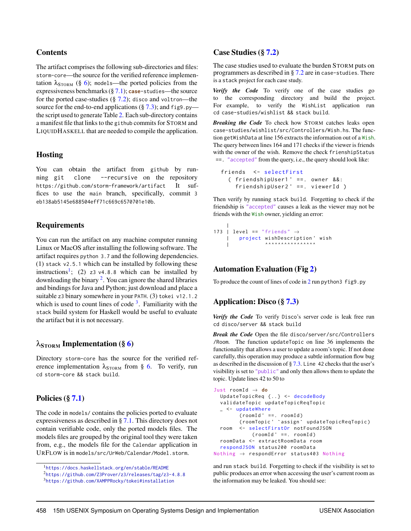## **Contents**

The artifact comprises the following sub-directories and files: storm-core—the source for the verified reference implementation  $\lambda_{STORM}$  (§ [6\)](#page-11-0); models—the ported policies from the expressiveness benchmarks (§ [7.1\)](#page-12-1); **case**-studies—the source for the ported case-studies  $(\S 7.2)$  $(\S 7.2)$ ; disco and voltron—the source for the end-to-end applications  $(\frac{6}{3}, 7.3)$  $(\frac{6}{3}, 7.3)$ ; and figg.py the script used to generate Table [2.](#page-14-0) Each sub-directory contains a manifest file that links to the github commits for STORM and LIQUIDHASKELL that are needed to compile the application.

## Hosting

You can obtain the artifact from github by running git clone --recursive on the repository https://github.com/storm-framework/artifact It suffices to use the main branch, specifically, commit 3 eb138ab5145e688504eff71c669c6570701e10b.

## Requirements

You can run the artifact on any machine computer running Linux or MacOS after installing the following software. The artifact requires python 3.7 and the following dependencies. (1) stack v2.5.1 which can be installed by following these instructions<sup>[1](#page-18-0)</sup>; (2) z3 v4.8.8 which can be installed by downloading the binary <sup>[2](#page-18-1)</sup>. You can ignore the shared libraries and bindings for Java and Python; just download and place a suitable z3 binary somewhere in your PATH. (3) tokei v12.1.2 which is used to count lines of code  $3$ . Familiarity with the stack build system for Haskell would be useful to evaluate the artifact but it is not necessary.

## $\lambda_{STORM}$  Implementation (§ [6\)](#page-11-0)

Directory storm-core has the source for the verified reference implementation  $\lambda_{\text{STORM}}$  from § [6.](#page-11-0) To verify, run cd storm-core && stack build.

## Policies (§ [7.1\)](#page-12-1)

The code in models/ contains the policies ported to evaluate expressiveness as described in § [7.1.](#page-12-1) This directory does not contain verifiable code, only the ported models files. The models files are grouped by the original tool they were taken from, e.g., the models file for the Calendar application in URFLOW is in models/src/UrWeb/Calendar/Model.storm.

#### Case Studies (§ [7.2\)](#page-13-0)

The case studies used to evaluate the burden STORM puts on programmers as described in § [7.2](#page-13-0) are in case-studies. There is a stack project for each case study.

*Verify the Code* To verify one of the case studies go to the corresponding directory and build the project. For example, to verify the WishList application run cd case-studies/wishlist && stack build.

*Breaking the Code* To check how STORM catches leaks open case-studies/wishlist/src/Controllers/Wish.hs. The function getWishData at line 156 extracts the information out of a Wish. The query between lines 164 and 171 checks if the viewer is friends with the owner of the wish. Remove the check frienshipStatus ==. "accepted" from the query, i.e., the query should look like:

```
friends <- selectFirst
  ( friendshipUser1 ' ==. owner &&:
    friendshipUser2 ' ==. viewerId )
```
Then verify by running stack build. Forgetting to check if the friendship is "accepted" causes a leak as the viewer may not be friends with the Wish owner, yielding an error:

```
|
173 | level == "friends" \rightarrow| project wishDescription ' wish
               \parallel \qquad \qquad \qquad \qquad \qquad \qquad \qquad \qquad \qquad \qquad \qquad \qquad \qquad \qquad \qquad \qquad \qquad \qquad \qquad \qquad \qquad \qquad \qquad \qquad \qquad \qquad \qquad \qquad \qquad \qquad \qquad \qquad \qquad \qquad \qquad \qquad \qquad
```
## Automation Evaluation (Fig [2\)](#page-14-0)

To produce the count of lines of code in [2](#page-14-0) run python3 fig9.py

## Application: Disco (§ [7.3\)](#page-13-1)

*Verify the Code* To verify Disco's server code is leak free run cd disco/server && stack build

*Break the Code* Open the file disco/server/src/Controllers /Room. The function updateTopic on line 36 implements the functionality that allows a user to update a room's topic. If not done carefully, this operation may produce a subtle information flow bug as described in the discussion of  $\S 7.3$ . Line 42 checks that the user's visibility is set to "public" and only then allows them to update the topic. Update lines 42 to 50 to

```
Just roomId → do
 UpdateTopicReq {..} <- decodeBody
 validateTopic updateTopicReqTopic
 _ <- updateWhere
        ( roomId ' ==. roomId )
        ( roomTopic ' `assign ` updateTopicReqTopic )
  room <- selectFirstOr notFoundJSON
            (root) ==. roomId
  roomData <- extractRoomData room
 respondJSON status200 roomData
Nothing → respondError status403 Nothing
```
and run stack build. Forgetting to check if the visibility is set to public produces an error when accessing the user's current room as the information may be leaked. You should see:

<span id="page-18-0"></span><sup>1</sup><https://docs.haskellstack.org/en/stable/README>

<span id="page-18-1"></span><sup>2</sup><https://github.com/Z3Prover/z3/releases/tag/z3-4.8.8>

<span id="page-18-2"></span><sup>3</sup><https://github.com/XAMPPRocky/tokei#installation>